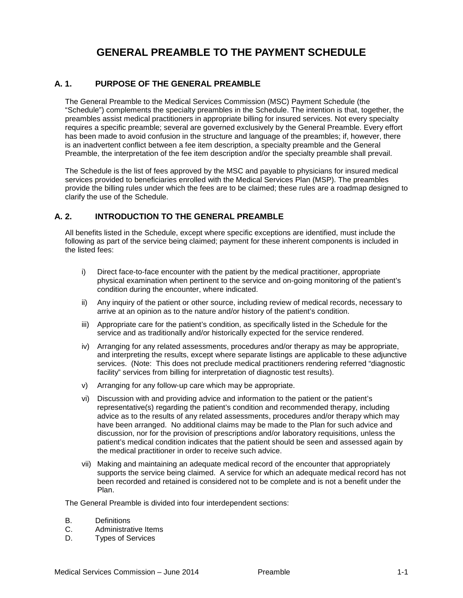# **1. GENERAL PREAMBLE TO THE PAYMENT SCHEDULE**

## **A. 1. PURPOSE OF THE GENERAL PREAMBLE**

The General Preamble to the Medical Services Commission (MSC) Payment Schedule (the "Schedule") complements the specialty preambles in the Schedule. The intention is that, together, the preambles assist medical practitioners in appropriate billing for insured services. Not every specialty requires a specific preamble; several are governed exclusively by the General Preamble. Every effort has been made to avoid confusion in the structure and language of the preambles; if, however, there is an inadvertent conflict between a fee item description, a specialty preamble and the General Preamble, the interpretation of the fee item description and/or the specialty preamble shall prevail.

The Schedule is the list of fees approved by the MSC and payable to physicians for insured medical services provided to beneficiaries enrolled with the Medical Services Plan (MSP). The preambles provide the billing rules under which the fees are to be claimed; these rules are a roadmap designed to clarify the use of the Schedule.

## **A. 2. INTRODUCTION TO THE GENERAL PREAMBLE**

All benefits listed in the Schedule, except where specific exceptions are identified, must include the following as part of the service being claimed; payment for these inherent components is included in the listed fees:

- i) Direct face-to-face encounter with the patient by the medical practitioner, appropriate physical examination when pertinent to the service and on-going monitoring of the patient's condition during the encounter, where indicated.
- ii) Any inquiry of the patient or other source, including review of medical records, necessary to arrive at an opinion as to the nature and/or history of the patient's condition.
- iii) Appropriate care for the patient's condition, as specifically listed in the Schedule for the service and as traditionally and/or historically expected for the service rendered.
- iv) Arranging for any related assessments, procedures and/or therapy as may be appropriate, and interpreting the results, except where separate listings are applicable to these adjunctive services. (Note: This does not preclude medical practitioners rendering referred "diagnostic facility" services from billing for interpretation of diagnostic test results).
- v) Arranging for any follow-up care which may be appropriate.
- vi) Discussion with and providing advice and information to the patient or the patient's representative(s) regarding the patient's condition and recommended therapy, including advice as to the results of any related assessments, procedures and/or therapy which may have been arranged. No additional claims may be made to the Plan for such advice and discussion, nor for the provision of prescriptions and/or laboratory requisitions, unless the patient's medical condition indicates that the patient should be seen and assessed again by the medical practitioner in order to receive such advice.
- vii) Making and maintaining an adequate medical record of the encounter that appropriately supports the service being claimed. A service for which an adequate medical record has not been recorded and retained is considered not to be complete and is not a benefit under the Plan.

The General Preamble is divided into four interdependent sections:

- B. Definitions<br>C. Administrat
- Administrative Items
- D. Types of Services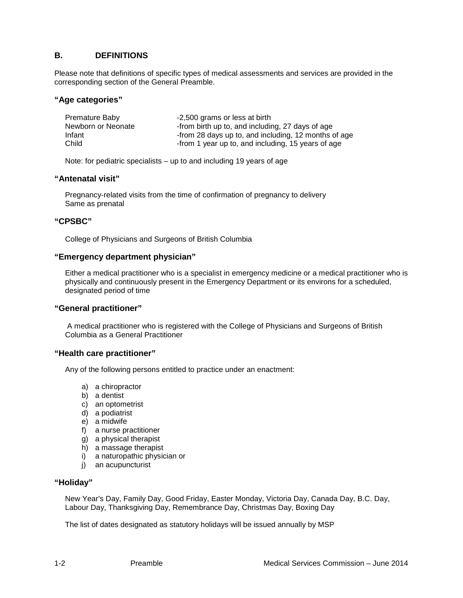# **B. DEFINITIONS**

Please note that definitions of specific types of medical assessments and services are provided in the corresponding section of the General Preamble.

#### **"Age categories"**

| Premature Baby     | -2,500 grams or less at birth                        |
|--------------------|------------------------------------------------------|
| Newborn or Neonate | -from birth up to, and including, 27 days of age     |
| Infant             | -from 28 days up to, and including, 12 months of age |
| Child              | -from 1 year up to, and including, 15 years of age   |

Note: for pediatric specialists – up to and including 19 years of age

#### **"Antenatal visit"**

Pregnancy-related visits from the time of confirmation of pregnancy to delivery Same as prenatal

#### **"CPSBC"**

College of Physicians and Surgeons of British Columbia

#### **"Emergency department physician"**

Either a medical practitioner who is a specialist in emergency medicine or a medical practitioner who is physically and continuously present in the Emergency Department or its environs for a scheduled, designated period of time

#### **"General practitioner"**

A medical practitioner who is registered with the College of Physicians and Surgeons of British Columbia as a General Practitioner

#### **"Health care practitioner"**

Any of the following persons entitled to practice under an enactment:

- a) a chiropractor
- b) a dentist
- c) an optometrist
- d) a podiatrist
- e) a midwife
- f) a nurse practitioner
- g) a physical therapist
- h) a massage therapist
- i) a naturopathic physician or
- j) an acupuncturist

#### **"Holiday"**

New Year's Day, Family Day, Good Friday, Easter Monday, Victoria Day, Canada Day, B.C. Day, Labour Day, Thanksgiving Day, Remembrance Day, Christmas Day, Boxing Day

The list of dates designated as statutory holidays will be issued annually by MSP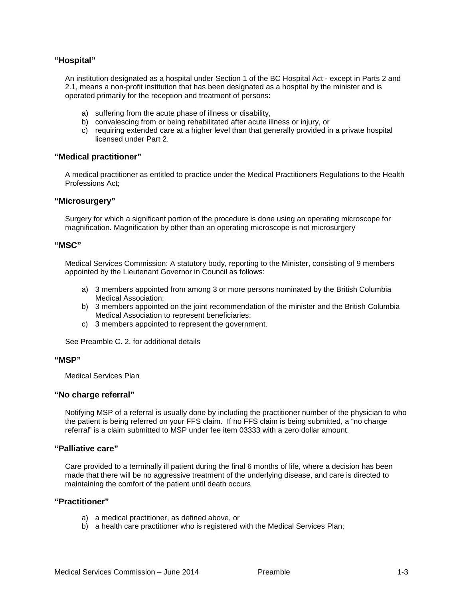## **"Hospital"**

An institution designated as a hospital under Section 1 of the BC Hospital Act - except in Parts 2 and 2.1, means a non-profit institution that has been designated as a hospital by the minister and is operated primarily for the reception and treatment of persons:

- a) suffering from the acute phase of illness or disability,
- b) convalescing from or being rehabilitated after acute illness or injury, or
- c) requiring extended care at a higher level than that generally provided in a private hospital licensed under Part 2.

#### **"Medical practitioner"**

A medical practitioner as entitled to practice under the Medical Practitioners Regulations to the Health Professions Act;

#### **"Microsurgery"**

Surgery for which a significant portion of the procedure is done using an operating microscope for magnification. Magnification by other than an operating microscope is not microsurgery

#### **"MSC"**

Medical Services Commission: A statutory body, reporting to the Minister, consisting of 9 members appointed by the Lieutenant Governor in Council as follows:

- a) 3 members appointed from among 3 or more persons nominated by the British Columbia Medical Association;
- b) 3 members appointed on the joint recommendation of the minister and the British Columbia Medical Association to represent beneficiaries;
- c) 3 members appointed to represent the government.

See Preamble C. 2. for additional details

#### **"MSP"**

Medical Services Plan

#### **"No charge referral"**

Notifying MSP of a referral is usually done by including the practitioner number of the physician to who the patient is being referred on your FFS claim. If no FFS claim is being submitted, a "no charge referral" is a claim submitted to MSP under fee item 03333 with a zero dollar amount.

#### **"Palliative care"**

Care provided to a terminally ill patient during the final 6 months of life, where a decision has been made that there will be no aggressive treatment of the underlying disease, and care is directed to maintaining the comfort of the patient until death occurs

#### **"Practitioner"**

- a) a medical practitioner, as defined above, or
- b) a health care practitioner who is registered with the Medical Services Plan;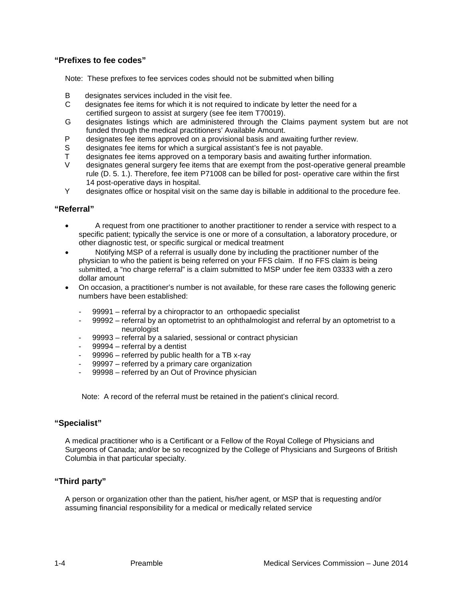## **"Prefixes to fee codes"**

Note: These prefixes to fee services codes should not be submitted when billing

- B designates services included in the visit fee.
- C designates fee items for which it is not required to indicate by letter the need for a certified surgeon to assist at surgery (see fee item T70019).
- G designates listings which are administered through the Claims payment system but are not funded through the medical practitioners' Available Amount.
- P designates fee items approved on a provisional basis and awaiting further review.
- S designates fee items for which a surgical assistant's fee is not payable.
- T designates fee items approved on a temporary basis and awaiting further information.<br>V designates general surgery fee items that are exampt from the post-operative general
- designates general surgery fee items that are exempt from the post-operative general preamble rule (D. 5. 1.). Therefore, fee item P71008 can be billed for post- operative care within the first 14 post-operative days in hospital.
- Y designates office or hospital visit on the same day is billable in additional to the procedure fee.

#### **"Referral"**

- A request from one practitioner to another practitioner to render a service with respect to a specific patient; typically the service is one or more of a consultation, a laboratory procedure, or other diagnostic test, or specific surgical or medical treatment
- Notifying MSP of a referral is usually done by including the practitioner number of the physician to who the patient is being referred on your FFS claim. If no FFS claim is being submitted, a "no charge referral" is a claim submitted to MSP under fee item 03333 with a zero dollar amount
- On occasion, a practitioner's number is not available, for these rare cases the following generic numbers have been established:
	- 99991 referral by a chiropractor to an orthopaedic specialist
	- 99992 referral by an optometrist to an ophthalmologist and referral by an optometrist to a neurologist
	- 99993 referral by a salaried, sessional or contract physician
	- 99994 referral by a dentist
	- 99996 referred by public health for a TB x-ray
	- 99997 referred by a primary care organization
	- 99998 referred by an Out of Province physician

Note: A record of the referral must be retained in the patient's clinical record.

#### **"Specialist"**

A medical practitioner who is a Certificant or a Fellow of the Royal College of Physicians and Surgeons of Canada; and/or be so recognized by the College of Physicians and Surgeons of British Columbia in that particular specialty.

#### **"Third party"**

A person or organization other than the patient, his/her agent, or MSP that is requesting and/or assuming financial responsibility for a medical or medically related service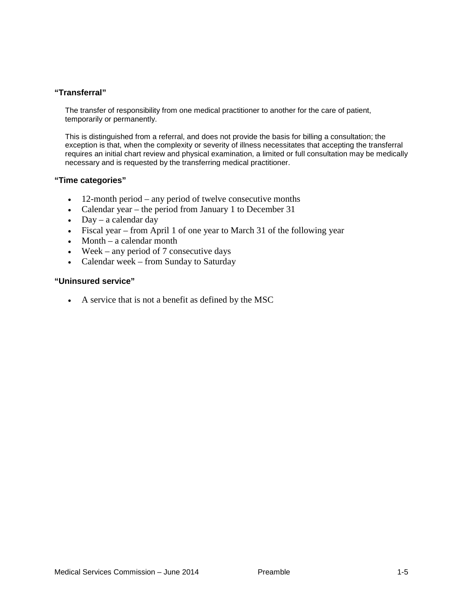# **"Transferral"**

The transfer of responsibility from one medical practitioner to another for the care of patient, temporarily or permanently.

This is distinguished from a referral, and does not provide the basis for billing a consultation; the exception is that, when the complexity or severity of illness necessitates that accepting the transferral requires an initial chart review and physical examination, a limited or full consultation may be medically necessary and is requested by the transferring medical practitioner.

#### **"Time categories"**

- 12-month period any period of twelve consecutive months
- Calendar year the period from January 1 to December 31
- Day a calendar day
- Fiscal year from April 1 of one year to March 31 of the following year
- Month a calendar month
- Week any period of 7 consecutive days
- Calendar week from Sunday to Saturday

#### **"Uninsured service"**

• A service that is not a benefit as defined by the MSC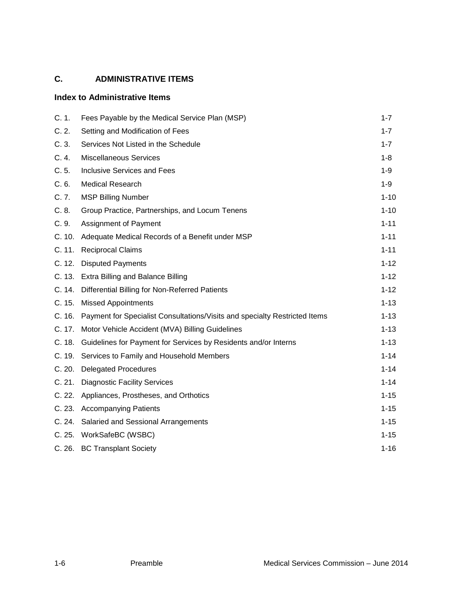# **C. ADMINISTRATIVE ITEMS**

# **Index to Administrative Items**

| C. 1.  | Fees Payable by the Medical Service Plan (MSP)                                    | $1 - 7$  |
|--------|-----------------------------------------------------------------------------------|----------|
| C.2.   | Setting and Modification of Fees                                                  | $1 - 7$  |
| C.3.   | Services Not Listed in the Schedule                                               | $1 - 7$  |
| C.4.   | <b>Miscellaneous Services</b>                                                     | $1 - 8$  |
| C.5.   | <b>Inclusive Services and Fees</b>                                                | $1 - 9$  |
| C.6.   | <b>Medical Research</b>                                                           | $1 - 9$  |
| C. 7.  | <b>MSP Billing Number</b>                                                         | $1 - 10$ |
| C.8.   | Group Practice, Partnerships, and Locum Tenens                                    | $1 - 10$ |
| C.9.   | Assignment of Payment                                                             | $1 - 11$ |
|        | C. 10. Adequate Medical Records of a Benefit under MSP                            | $1 - 11$ |
|        | C. 11. Reciprocal Claims                                                          | $1 - 11$ |
|        | C. 12. Disputed Payments                                                          | $1 - 12$ |
|        | C. 13. Extra Billing and Balance Billing                                          | $1 - 12$ |
|        | C. 14. Differential Billing for Non-Referred Patients                             | $1 - 12$ |
|        | C. 15. Missed Appointments                                                        | $1 - 13$ |
|        | C. 16. Payment for Specialist Consultations/Visits and specialty Restricted Items | $1 - 13$ |
|        | C. 17. Motor Vehicle Accident (MVA) Billing Guidelines                            | $1 - 13$ |
| C. 18. | Guidelines for Payment for Services by Residents and/or Interns                   | $1 - 13$ |
|        | C. 19. Services to Family and Household Members                                   | $1 - 14$ |
| C. 20. | <b>Delegated Procedures</b>                                                       | $1 - 14$ |
|        | C. 21. Diagnostic Facility Services                                               | $1 - 14$ |
|        | C. 22. Appliances, Prostheses, and Orthotics                                      | $1 - 15$ |
|        | C. 23. Accompanying Patients                                                      | $1 - 15$ |
|        | C. 24. Salaried and Sessional Arrangements                                        | $1 - 15$ |
|        | C. 25. WorkSafeBC (WSBC)                                                          | $1 - 15$ |
|        | C. 26. BC Transplant Society                                                      | $1 - 16$ |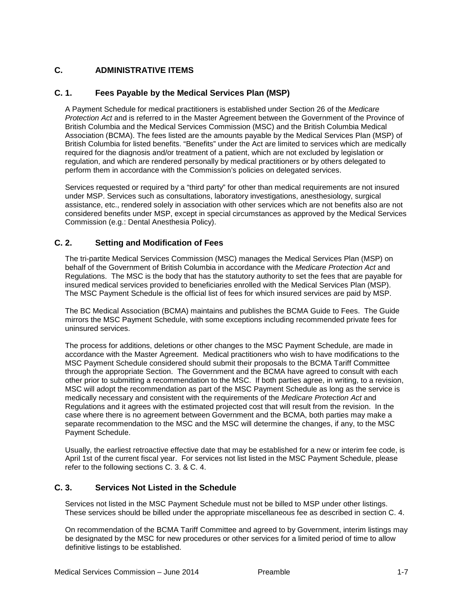# **C. ADMINISTRATIVE ITEMS**

# **C. 1. Fees Payable by the Medical Services Plan (MSP)**

A Payment Schedule for medical practitioners is established under Section 26 of the *Medicare Protection Act* and is referred to in the Master Agreement between the Government of the Province of British Columbia and the Medical Services Commission (MSC) and the British Columbia Medical Association (BCMA). The fees listed are the amounts payable by the Medical Services Plan (MSP) of British Columbia for listed benefits. "Benefits" under the Act are limited to services which are medically required for the diagnosis and/or treatment of a patient, which are not excluded by legislation or regulation, and which are rendered personally by medical practitioners or by others delegated to perform them in accordance with the Commission's policies on delegated services.

Services requested or required by a "third party" for other than medical requirements are not insured under MSP. Services such as consultations, laboratory investigations, anesthesiology, surgical assistance, etc., rendered solely in association with other services which are not benefits also are not considered benefits under MSP, except in special circumstances as approved by the Medical Services Commission (e.g.: Dental Anesthesia Policy).

# **C. 2. Setting and Modification of Fees**

The tri-partite Medical Services Commission (MSC) manages the Medical Services Plan (MSP) on behalf of the Government of British Columbia in accordance with the *[Medicare Protection Act](http://www.health.gov.bc.ca/msp/legislation/mpa.html)* and [Regulations.](http://www.health.gov.bc.ca/msp/legislation/mpa.html) The MSC is the body that has the statutory authority to set the fees that are payable for insured medical services provided to beneficiaries enrolled with the Medical Services Plan (MSP). The MSC Payment Schedule is the official list of fees for which insured services are paid by MSP.

The BC Medical Association (BCMA) maintains and publishes the BCMA Guide to Fees. The Guide mirrors the MSC Payment Schedule, with some exceptions including recommended private fees for uninsured services.

The process for additions, deletions or other changes to the MSC Payment Schedule, are made in accordance with the Master Agreement. Medical practitioners who wish to have modifications to the MSC Payment Schedule considered should submit their proposals to the BCMA Tariff Committee through the appropriate Section. The Government and the BCMA have agreed to consult with each other prior to submitting a recommendation to the MSC. If both parties agree, in writing, to a revision, MSC will adopt the recommendation as part of the MSC Payment Schedule as long as the service is medically necessary and consistent with the requirements of the *Medicare Protection Act* and Regulations and it agrees with the estimated projected cost that will result from the revision. In the case where there is no agreement between Government and the BCMA, both parties may make a separate recommendation to the MSC and the MSC will determine the changes, if any, to the MSC Payment Schedule.

Usually, the earliest retroactive effective date that may be established for a new or interim fee code, is April 1st of the current fiscal year. For services not list listed in the MSC Payment Schedule, please refer to the following sections C. 3. & C. 4.

# **C. 3. Services Not Listed in the Schedule**

Services not listed in the MSC Payment Schedule must not be billed to MSP under other listings. These services should be billed under the appropriate miscellaneous fee as described in section C. 4.

On recommendation of the BCMA Tariff Committee and agreed to by Government, interim listings may be designated by the MSC for new procedures or other services for a limited period of time to allow definitive listings to be established.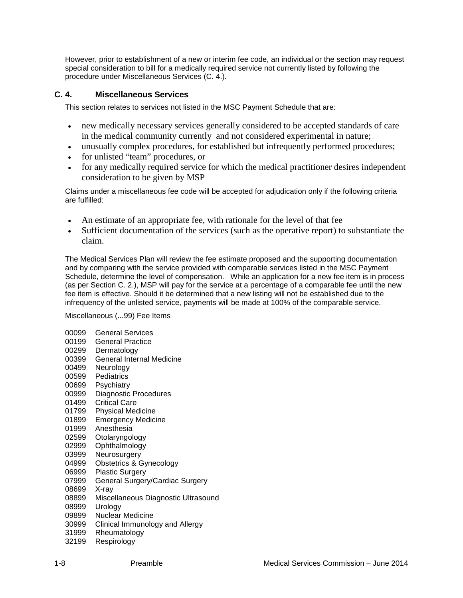However, prior to establishment of a new or interim fee code, an individual or the section may request special consideration to bill for a medically required service not currently listed by following the procedure under Miscellaneous Services (C. 4.).

# **C. 4. Miscellaneous Services**

This section relates to services not listed in the MSC Payment Schedule that are:

- new medically necessary services generally considered to be accepted standards of care in the medical community currently and not considered experimental in nature;
- unusually complex procedures, for established but infrequently performed procedures;
- for unlisted "team" procedures, or
- for any medically required service for which the medical practitioner desires independent consideration to be given by MSP

Claims under a miscellaneous fee code will be accepted for adjudication only if the following criteria are fulfilled:

- An estimate of an appropriate fee, with rationale for the level of that fee
- Sufficient documentation of the services (such as the operative report) to substantiate the claim.

The Medical Services Plan will review the fee estimate proposed and the supporting documentation and by comparing with the service provided with comparable services listed in the MSC Payment Schedule, determine the level of compensation. While an application for a new fee item is in process (as per Section C. 2.), MSP will pay for the service at a percentage of a comparable fee until the new fee item is effective. Should it be determined that a new listing will not be established due to the infrequency of the unlisted service, payments will be made at 100% of the comparable service.

Miscellaneous (...99) Fee Items

| 00099<br>00199<br>00299<br>00399 | General Services<br>General Practice<br>Dermatology<br><b>General Internal Medicine</b> |
|----------------------------------|-----------------------------------------------------------------------------------------|
| 00499                            | Neurology                                                                               |
| 00599                            | Pediatrics                                                                              |
| 00699                            | Psychiatry                                                                              |
| 00999                            | <b>Diagnostic Procedures</b>                                                            |
| 01499                            | <b>Critical Care</b>                                                                    |
| 01799                            | <b>Physical Medicine</b>                                                                |
| 01899                            | <b>Emergency Medicine</b>                                                               |
| 01999                            | Anesthesia                                                                              |
| 02599                            | Otolaryngology                                                                          |
| 02999                            | Ophthalmology                                                                           |
| 03999                            | Neurosurgery                                                                            |
| 04999                            | Obstetrics & Gynecology                                                                 |
| 06999                            | <b>Plastic Surgery</b>                                                                  |
| 07999                            | General Surgery/Cardiac Surgery                                                         |
| 08699                            | X-ray                                                                                   |
| 08899                            | Miscellaneous Diagnostic Ultrasound                                                     |
| 08999                            | Urology                                                                                 |
| 09899                            | <b>Nuclear Medicine</b>                                                                 |
| 30999                            | Clinical Immunology and Allergy                                                         |
| 31999                            | Rheumatology                                                                            |
| 32199                            | Respirology                                                                             |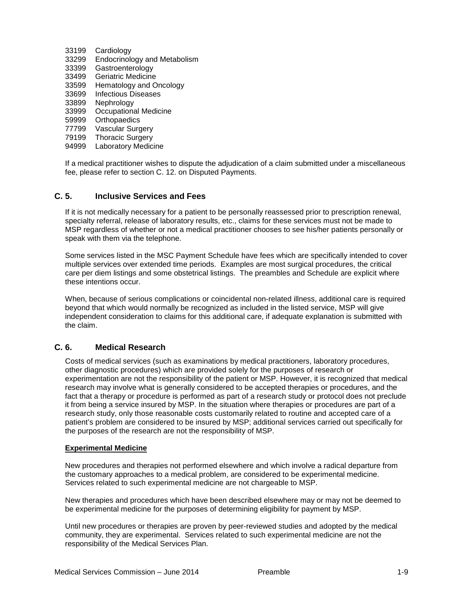- 33199 Cardiology
- 33299 Endocrinology and Metabolism
- 33399 Gastroenterology
- 33499 Geriatric Medicine
- 33599 Hematology and Oncology
- 33699 Infectious Diseases
- 33899 Nephrology
- 33999 Occupational Medicine
- 59999 Orthopaedics
- 77799 Vascular Surgery
- 79199 Thoracic Surgery
- 94999 Laboratory Medicine

If a medical practitioner wishes to dispute the adjudication of a claim submitted under a miscellaneous fee, please refer to section C. 12. on Disputed Payments.

# **C. 5. Inclusive Services and Fees**

If it is not medically necessary for a patient to be personally reassessed prior to prescription renewal, specialty referral, release of laboratory results, etc., claims for these services must not be made to MSP regardless of whether or not a medical practitioner chooses to see his/her patients personally or speak with them via the telephone.

Some services listed in the MSC Payment Schedule have fees which are specifically intended to cover multiple services over extended time periods. Examples are most surgical procedures, the critical care per diem listings and some obstetrical listings. The preambles and Schedule are explicit where these intentions occur.

When, because of serious complications or coincidental non-related illness, additional care is required beyond that which would normally be recognized as included in the listed service, MSP will give independent consideration to claims for this additional care, if adequate explanation is submitted with the claim.

#### **C. 6. Medical Research**

Costs of medical services (such as examinations by medical practitioners, laboratory procedures, other diagnostic procedures) which are provided solely for the purposes of research or experimentation are not the responsibility of the patient or MSP. However, it is recognized that medical research may involve what is generally considered to be accepted therapies or procedures, and the fact that a therapy or procedure is performed as part of a research study or protocol does not preclude it from being a service insured by MSP. In the situation where therapies or procedures are part of a research study, only those reasonable costs customarily related to routine and accepted care of a patient's problem are considered to be insured by MSP; additional services carried out specifically for the purposes of the research are not the responsibility of MSP.

#### **Experimental Medicine**

New procedures and therapies not performed elsewhere and which involve a radical departure from the customary approaches to a medical problem, are considered to be experimental medicine. Services related to such experimental medicine are not chargeable to MSP.

New therapies and procedures which have been described elsewhere may or may not be deemed to be experimental medicine for the purposes of determining eligibility for payment by MSP.

Until new procedures or therapies are proven by peer-reviewed studies and adopted by the medical community, they are experimental. Services related to such experimental medicine are not the responsibility of the Medical Services Plan.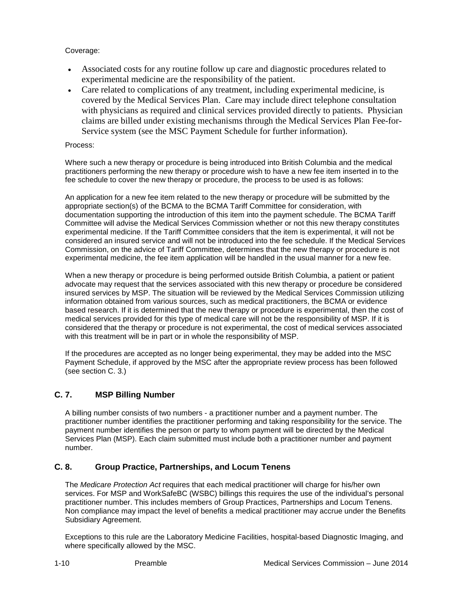Coverage:

- Associated costs for any routine follow up care and diagnostic procedures related to experimental medicine are the responsibility of the patient.
- Care related to complications of any treatment, including experimental medicine, is covered by the Medical Services Plan. Care may include direct telephone consultation with physicians as required and clinical services provided directly to patients. Physician claims are billed under existing mechanisms through the Medical Services Plan Fee-for-Service system (see the MSC Payment Schedule for further information).

## Process:

Where such a new therapy or procedure is being introduced into British Columbia and the medical practitioners performing the new therapy or procedure wish to have a new fee item inserted in to the fee schedule to cover the new therapy or procedure, the process to be used is as follows:

An application for a new fee item related to the new therapy or procedure will be submitted by the appropriate section(s) of the BCMA to the BCMA Tariff Committee for consideration, with documentation supporting the introduction of this item into the payment schedule. The BCMA Tariff Committee will advise the Medical Services Commission whether or not this new therapy constitutes experimental medicine. If the Tariff Committee considers that the item is experimental, it will not be considered an insured service and will not be introduced into the fee schedule. If the Medical Services Commission, on the advice of Tariff Committee, determines that the new therapy or procedure is not experimental medicine, the fee item application will be handled in the usual manner for a new fee.

When a new therapy or procedure is being performed outside British Columbia, a patient or patient advocate may request that the services associated with this new therapy or procedure be considered insured services by MSP. The situation will be reviewed by the Medical Services Commission utilizing information obtained from various sources, such as medical practitioners, the BCMA or evidence based research. If it is determined that the new therapy or procedure is experimental, then the cost of medical services provided for this type of medical care will not be the responsibility of MSP. If it is considered that the therapy or procedure is not experimental, the cost of medical services associated with this treatment will be in part or in whole the responsibility of MSP.

If the procedures are accepted as no longer being experimental, they may be added into the MSC Payment Schedule, if approved by the MSC after the appropriate review process has been followed (see section C. 3.)

# **C. 7. MSP Billing Number**

A billing number consists of two numbers - a practitioner number and a payment number. The practitioner number identifies the practitioner performing and taking responsibility for the service. The payment number identifies the person or party to whom payment will be directed by the Medical Services Plan (MSP). Each claim submitted must include both a practitioner number and payment number.

# **C. 8. Group Practice, Partnerships, and Locum Tenens**

The *Medicare Protection Act* requires that each medical practitioner will charge for his/her own services. For MSP and WorkSafeBC (WSBC) billings this requires the use of the individual's personal practitioner number. This includes members of Group Practices, Partnerships and Locum Tenens. Non compliance may impact the level of benefits a medical practitioner may accrue under the Benefits Subsidiary Agreement.

Exceptions to this rule are the Laboratory Medicine Facilities, hospital-based Diagnostic Imaging, and where specifically allowed by the MSC.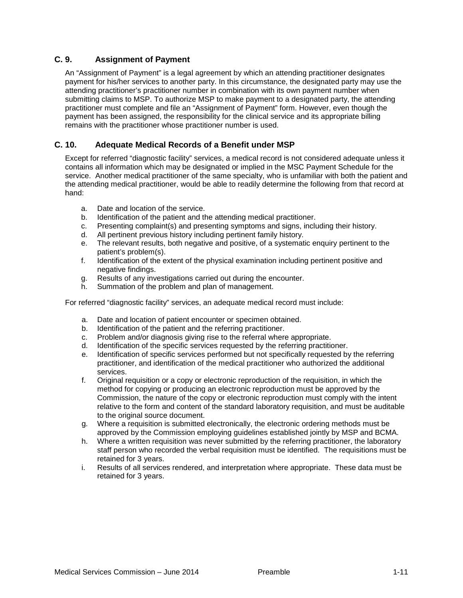# **C. 9. Assignment of Payment**

An "Assignment of Payment" is a legal agreement by which an attending practitioner designates payment for his/her services to another party. In this circumstance, the designated party may use the attending practitioner's practitioner number in combination with its own payment number when submitting claims to MSP. To authorize MSP to make payment to a designated party, the attending practitioner must complete and file an "Assignment of Payment" form. However, even though the payment has been assigned, the responsibility for the clinical service and its appropriate billing remains with the practitioner whose practitioner number is used.

# **C. 10. Adequate Medical Records of a Benefit under MSP**

Except for referred "diagnostic facility" services, a medical record is not considered adequate unless it contains all information which may be designated or implied in the MSC Payment Schedule for the service. Another medical practitioner of the same specialty, who is unfamiliar with both the patient and the attending medical practitioner, would be able to readily determine the following from that record at hand:

- a. Date and location of the service.
- b. Identification of the patient and the attending medical practitioner.
- c. Presenting complaint(s) and presenting symptoms and signs, including their history.
- d. All pertinent previous history including pertinent family history.
- e. The relevant results, both negative and positive, of a systematic enquiry pertinent to the patient's problem(s).
- f. Identification of the extent of the physical examination including pertinent positive and negative findings.
- g. Results of any investigations carried out during the encounter.
- h. Summation of the problem and plan of management.

For referred "diagnostic facility" services, an adequate medical record must include:

- a. Date and location of patient encounter or specimen obtained.
- b. Identification of the patient and the referring practitioner.
- c. Problem and/or diagnosis giving rise to the referral where appropriate.
- Identification of the specific services requested by the referring practitioner.
- e. Identification of specific services performed but not specifically requested by the referring practitioner, and identification of the medical practitioner who authorized the additional services.
- f. Original requisition or a copy or electronic reproduction of the requisition, in which the method for copying or producing an electronic reproduction must be approved by the Commission, the nature of the copy or electronic reproduction must comply with the intent relative to the form and content of the standard laboratory requisition, and must be auditable to the original source document.
- g. Where a requisition is submitted electronically, the electronic ordering methods must be approved by the Commission employing guidelines established jointly by MSP and BCMA.
- h. Where a written requisition was never submitted by the referring practitioner, the laboratory staff person who recorded the verbal requisition must be identified. The requisitions must be retained for 3 years.
- i. Results of all services rendered, and interpretation where appropriate. These data must be retained for 3 years.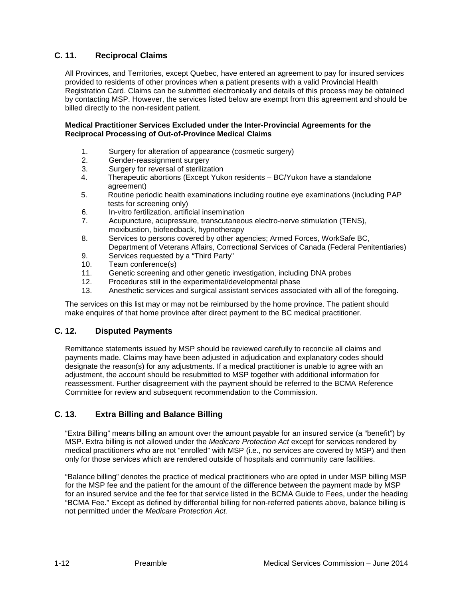# **C. 11. Reciprocal Claims**

All Provinces, and Territories, except Quebec, have entered an agreement to pay for insured services provided to residents of other provinces when a patient presents with a valid Provincial Health Registration Card. Claims can be submitted electronically and details of this process may be obtained by contacting MSP. However, the services listed below are exempt from this agreement and should be billed directly to the non-resident patient.

#### **Medical Practitioner Services Excluded under the Inter-Provincial Agreements for the Reciprocal Processing of Out-of-Province Medical Claims**

- 1. Surgery for alteration of appearance (cosmetic surgery)<br>2 Gender-reassignment surgery
- Gender-reassignment surgery
- 3. Surgery for reversal of sterilization
- 4. Therapeutic abortions (Except Yukon residents BC/Yukon have a standalone agreement)
- 5. Routine periodic health examinations including routine eye examinations (including PAP tests for screening only)
- 6. In-vitro fertilization, artificial insemination
- 7. Acupuncture, acupressure, transcutaneous electro-nerve stimulation (TENS), moxibustion, biofeedback, hypnotherapy
- 8. Services to persons covered by other agencies; Armed Forces, WorkSafe BC, Department of Veterans Affairs, Correctional Services of Canada (Federal Penitentiaries)
- 9. Services requested by a "Third Party"
- 10. Team conference(s)
- 11. Genetic screening and other genetic investigation, including DNA probes 12. Procedures still in the experimental/developmental phase
- 12. Procedures still in the experimental/developmental phase<br>13. Anesthetic services and surgical assistant services associ
- Anesthetic services and surgical assistant services associated with all of the foregoing.

The services on this list may or may not be reimbursed by the home province. The patient should make enquires of that home province after direct payment to the BC medical practitioner.

# **C. 12. Disputed Payments**

Remittance statements issued by MSP should be reviewed carefully to reconcile all claims and payments made. Claims may have been adjusted in adjudication and explanatory codes should designate the reason(s) for any adjustments. If a medical practitioner is unable to agree with an adjustment, the account should be resubmitted to MSP together with additional information for reassessment. Further disagreement with the payment should be referred to the BCMA Reference Committee for review and subsequent recommendation to the Commission.

# **C. 13. Extra Billing and Balance Billing**

"Extra Billing" means billing an amount over the amount payable for an insured service (a "benefit") by MSP. Extra billing is not allowed under the *Medicare Protection Act* except for services rendered by medical practitioners who are not "enrolled" with MSP (i.e., no services are covered by MSP) and then only for those services which are rendered outside of hospitals and community care facilities.

"Balance billing" denotes the practice of medical practitioners who are opted in under MSP billing MSP for the MSP fee and the patient for the amount of the difference between the payment made by MSP for an insured service and the fee for that service listed in the BCMA Guide to Fees, under the heading "BCMA Fee." Except as defined by differential billing for non-referred patients above, balance billing is not permitted under the *Medicare Protection Act.*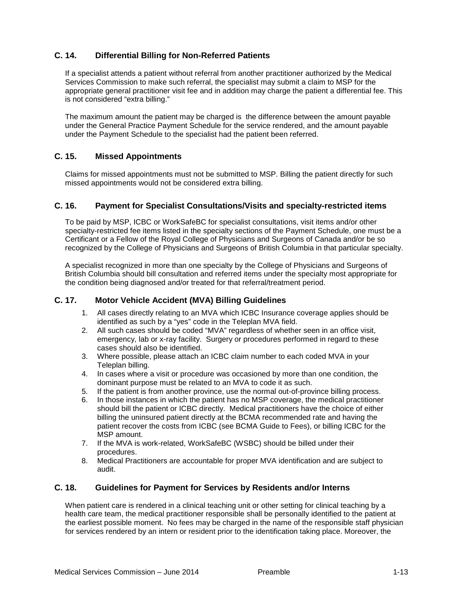# **C. 14. Differential Billing for Non-Referred Patients**

If a specialist attends a patient without referral from another practitioner authorized by the Medical Services Commission to make such referral, the specialist may submit a claim to MSP for the appropriate general practitioner visit fee and in addition may charge the patient a differential fee. This is not considered "extra billing."

The maximum amount the patient may be charged is the difference between the amount payable under the General Practice Payment Schedule for the service rendered, and the amount payable under the Payment Schedule to the specialist had the patient been referred.

# **C. 15. Missed Appointments**

Claims for missed appointments must not be submitted to MSP. Billing the patient directly for such missed appointments would not be considered extra billing.

## **C. 16. Payment for Specialist Consultations/Visits and specialty-restricted items**

To be paid by MSP, ICBC or WorkSafeBC for specialist consultations, visit items and/or other specialty-restricted fee items listed in the specialty sections of the Payment Schedule, one must be a Certificant or a Fellow of the Royal College of Physicians and Surgeons of Canada and/or be so recognized by the College of Physicians and Surgeons of British Columbia in that particular specialty.

A specialist recognized in more than one specialty by the College of Physicians and Surgeons of British Columbia should bill consultation and referred items under the specialty most appropriate for the condition being diagnosed and/or treated for that referral/treatment period.

#### **C. 17. Motor Vehicle Accident (MVA) Billing Guidelines**

- 1. All cases directly relating to an MVA which ICBC Insurance coverage applies should be identified as such by a "yes" code in the Teleplan MVA field.
- 2. All such cases should be coded "MVA" regardless of whether seen in an office visit, emergency, lab or x-ray facility. Surgery or procedures performed in regard to these cases should also be identified.
- 3. Where possible, please attach an ICBC claim number to each coded MVA in your Teleplan billing.
- 4. In cases where a visit or procedure was occasioned by more than one condition, the dominant purpose must be related to an MVA to code it as such.
- 5. If the patient is from another province, use the normal out-of-province billing process.
- 6. In those instances in which the patient has no MSP coverage, the medical practitioner should bill the patient or ICBC directly. Medical practitioners have the choice of either billing the uninsured patient directly at the BCMA recommended rate and having the patient recover the costs from ICBC (see BCMA Guide to Fees), or billing ICBC for the MSP amount.
- 7. If the MVA is work-related, WorkSafeBC (WSBC) should be billed under their procedures.
- 8. Medical Practitioners are accountable for proper MVA identification and are subject to audit.

#### **C. 18. Guidelines for Payment for Services by Residents and/or Interns**

When patient care is rendered in a clinical teaching unit or other setting for clinical teaching by a health care team, the medical practitioner responsible shall be personally identified to the patient at the earliest possible moment. No fees may be charged in the name of the responsible staff physician for services rendered by an intern or resident prior to the identification taking place. Moreover, the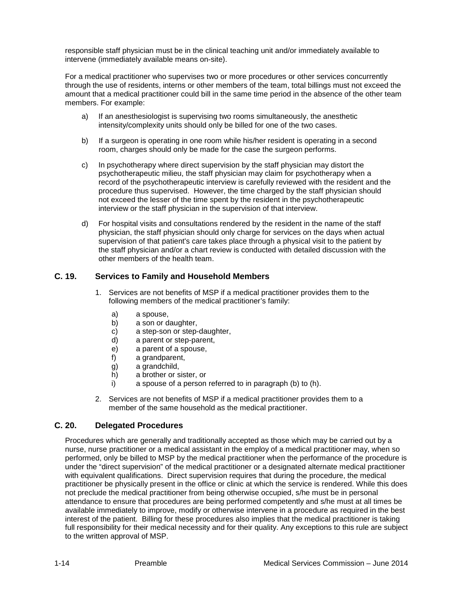responsible staff physician must be in the clinical teaching unit and/or immediately available to intervene (immediately available means on-site).

For a medical practitioner who supervises two or more procedures or other services concurrently through the use of residents, interns or other members of the team, total billings must not exceed the amount that a medical practitioner could bill in the same time period in the absence of the other team members. For example:

- a) If an anesthesiologist is supervising two rooms simultaneously, the anesthetic intensity/complexity units should only be billed for one of the two cases.
- b) If a surgeon is operating in one room while his/her resident is operating in a second room, charges should only be made for the case the surgeon performs.
- c) In psychotherapy where direct supervision by the staff physician may distort the psychotherapeutic milieu, the staff physician may claim for psychotherapy when a record of the psychotherapeutic interview is carefully reviewed with the resident and the procedure thus supervised. However, the time charged by the staff physician should not exceed the lesser of the time spent by the resident in the psychotherapeutic interview or the staff physician in the supervision of that interview.
- d) For hospital visits and consultations rendered by the resident in the name of the staff physician, the staff physician should only charge for services on the days when actual supervision of that patient's care takes place through a physical visit to the patient by the staff physician and/or a chart review is conducted with detailed discussion with the other members of the health team.

## **C. 19. Services to Family and Household Members**

- 1. Services are not benefits of MSP if a medical practitioner provides them to the following members of the medical practitioner's family:
	- a) a spouse,
	- b) a son or daughter,
	- c) a step-son or step-daughter,<br>d) a parent or step-parent.
	- a parent or step-parent,
	- e) a parent of a spouse,
	- f) a grandparent,
	- g) a grandchild,
	- h) a brother or sister, or
	- i) a spouse of a person referred to in paragraph (b) to (h).
- 2. Services are not benefits of MSP if a medical practitioner provides them to a member of the same household as the medical practitioner.

#### **C. 20. Delegated Procedures**

Procedures which are generally and traditionally accepted as those which may be carried out by a nurse, nurse practitioner or a medical assistant in the employ of a medical practitioner may, when so performed, only be billed to MSP by the medical practitioner when the performance of the procedure is under the "direct supervision" of the medical practitioner or a designated alternate medical practitioner with equivalent qualifications. Direct supervision requires that during the procedure, the medical practitioner be physically present in the office or clinic at which the service is rendered. While this does not preclude the medical practitioner from being otherwise occupied, s/he must be in personal attendance to ensure that procedures are being performed competently and s/he must at all times be available immediately to improve, modify or otherwise intervene in a procedure as required in the best interest of the patient. Billing for these procedures also implies that the medical practitioner is taking full responsibility for their medical necessity and for their quality. Any exceptions to this rule are subject to the written approval of MSP.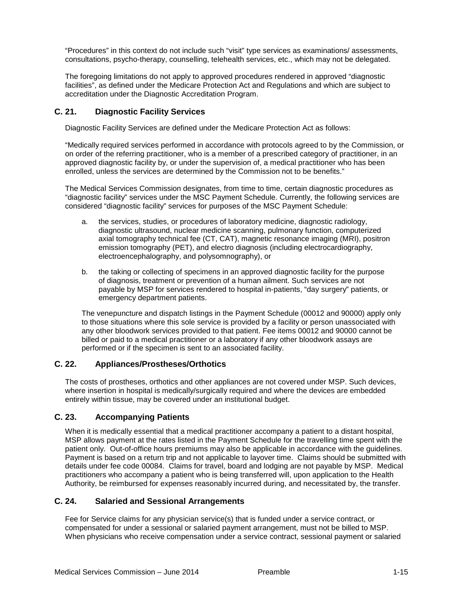"Procedures" in this context do not include such "visit" type services as examinations/ assessments, consultations, psycho-therapy, counselling, telehealth services, etc., which may not be delegated.

The foregoing limitations do not apply to approved procedures rendered in approved "diagnostic facilities", as defined under the Medicare Protection Act and Regulations and which are subject to accreditation under the Diagnostic Accreditation Program.

## **C. 21. Diagnostic Facility Services**

Diagnostic Facility Services are defined under the Medicare Protection Act as follows:

"Medically required services performed in accordance with protocols agreed to by the Commission, or on order of the referring practitioner, who is a member of a prescribed category of practitioner, in an approved diagnostic facility by, or under the supervision of, a medical practitioner who has been enrolled, unless the services are determined by the Commission not to be benefits."

The Medical Services Commission designates, from time to time, certain diagnostic procedures as "diagnostic facility" services under the MSC Payment Schedule. Currently, the following services are considered "diagnostic facility" services for purposes of the MSC Payment Schedule:

- a. the services, studies, or procedures of laboratory medicine, diagnostic radiology, diagnostic ultrasound, nuclear medicine scanning, pulmonary function, computerized axial tomography technical fee (CT, CAT), magnetic resonance imaging (MRI), positron emission tomography (PET), and electro diagnosis (including electrocardiography, electroencephalography, and polysomnography), or
- b. the taking or collecting of specimens in an approved diagnostic facility for the purpose of diagnosis, treatment or prevention of a human ailment. Such services are not payable by MSP for services rendered to hospital in-patients, "day surgery" patients, or emergency department patients.

The venepuncture and dispatch listings in the Payment Schedule (00012 and 90000) apply only to those situations where this sole service is provided by a facility or person unassociated with any other bloodwork services provided to that patient. Fee items 00012 and 90000 cannot be billed or paid to a medical practitioner or a laboratory if any other bloodwork assays are performed or if the specimen is sent to an associated facility.

#### **C. 22. Appliances/Prostheses/Orthotics**

The costs of prostheses, orthotics and other appliances are not covered under MSP. Such devices, where insertion in hospital is medically/surgically required and where the devices are embedded entirely within tissue, may be covered under an institutional budget.

# **C. 23. Accompanying Patients**

When it is medically essential that a medical practitioner accompany a patient to a distant hospital, MSP allows payment at the rates listed in the Payment Schedule for the travelling time spent with the patient only. Out-of-office hours premiums may also be applicable in accordance with the guidelines. Payment is based on a return trip and not applicable to layover time. Claims should be submitted with details under fee code 00084. Claims for travel, board and lodging are not payable by MSP. Medical practitioners who accompany a patient who is being transferred will, upon application to the Health Authority, be reimbursed for expenses reasonably incurred during, and necessitated by, the transfer.

#### **C. 24. Salaried and Sessional Arrangements**

Fee for Service claims for any physician service(s) that is funded under a service contract, or compensated for under a sessional or salaried payment arrangement, must not be billed to MSP. When physicians who receive compensation under a service contract, sessional payment or salaried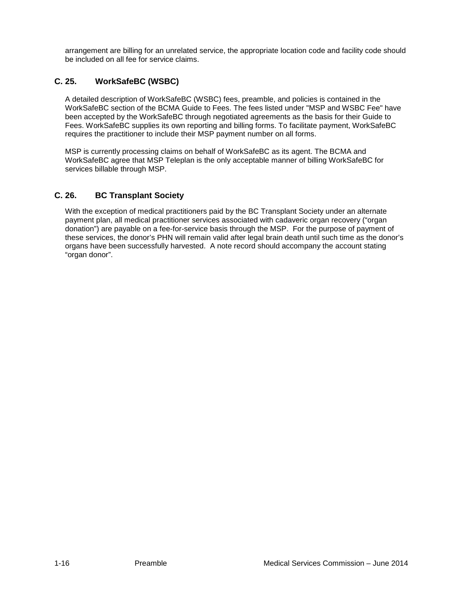arrangement are billing for an unrelated service, the appropriate location code and facility code should be included on all fee for service claims.

# **C. 25. WorkSafeBC (WSBC)**

A detailed description of WorkSafeBC (WSBC) fees, preamble, and policies is contained in the WorkSafeBC section of the BCMA Guide to Fees. The fees listed under "MSP and WSBC Fee" have been accepted by the WorkSafeBC through negotiated agreements as the basis for their Guide to Fees. WorkSafeBC supplies its own reporting and billing forms. To facilitate payment, WorkSafeBC requires the practitioner to include their MSP payment number on all forms.

MSP is currently processing claims on behalf of WorkSafeBC as its agent. The BCMA and WorkSafeBC agree that MSP Teleplan is the only acceptable manner of billing WorkSafeBC for services billable through MSP.

# **C. 26. BC Transplant Society**

With the exception of medical practitioners paid by the BC Transplant Society under an alternate payment plan, all medical practitioner services associated with cadaveric organ recovery ("organ donation") are payable on a fee-for-service basis through the MSP. For the purpose of payment of these services, the donor's PHN will remain valid after legal brain death until such time as the donor's organs have been successfully harvested. A note record should accompany the account stating "organ donor".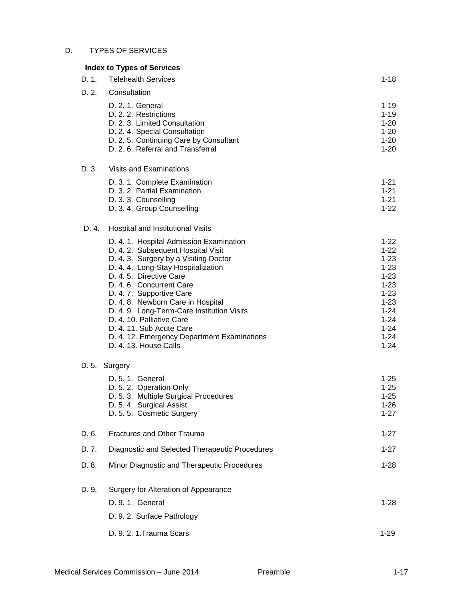#### D. TYPES OF SERVICES

# **Index to Types of Services** D. 1. Telehealth Services **1-18** D. 2. Consultation D. 2. 1. General 1-19 D. 2. 2. Restrictions 1-19 D. 2. 3. Limited Consultation 1-20 D. 2. 4. Special Consultation 1-20 D. 2. 5. Continuing Care by Consultant 1-20 D. 2. 6. Referral and Transferral 1-20 D. 3. Visits and Examinations D. 3. 1. Complete Examination 1.21 and 2.1 and 2.1 and 2.1 and 2.1 and 2.1 and 2.1 and 2.1 and 2.1 and 2.1 and 2.1 and 2.1 and 2.1 and 2.1 and 2.1 and 2.1 and 2.1 and 2.1 and 2.1 and 2.1 and 2.1 and 2.1 and 2.1 and 2.1 and D. 3. 2. Partial Examination 1-21<br>
D. 3. 3. Counselling 1-21<br>
1-21 D. 3. 3. Counselling 1-21<br>
D. 3. 4. Group Counselling 1-22 D. 3. 4. Group Counselling D. 4. Hospital and Institutional Visits D. 4. 1. Hospital Admission Examination 1994 122 1-22<br>
D. 4. 2. Subsequent Hospital Visit 1-22 D. 4. 2. Subsequent Hospital Visit D. 4. 3. Surgery by a Visiting Doctor (1999) 1996 1997 1-23<br>D. 4. 4. Long-Stav Hospitalization (1998) 1997 1-23 D. 4. 4. Long-Stay Hospitalization 1-23<br>
D. 4. 5. Directive Care 1-23 D. 4. 5. Directive Care D. 4. 6. Concurrent Care 1-23 D. 4. 7. Supportive Care 1-23<br>
D. 4. 8. Newborn Care in Hospital 1999 1999 1999 1-23 D. 4. 8. Newborn Care in Hospital D. 4. 9. Long-Term-Care Institution Visits 1.24 (1994) 1-24<br>
D. 4. 10. Palliative Care D. 4. 10. Palliative Care 1.24<br>
D. 4. 11. Sub Acute Care 1.24 D. 4. 11. Sub Acute Care D. 4. 12. Emergency Department Examinations 1-24 D. 4. 13. House Calls 1-24 D. 5. Surgery D. 5. 1. General 1-25 D. 5. 2. Operation Only 1-25<br>
D. 5. 3. Multiple Surgical Procedures 1999 12:35 D. 5. 3. Multiple Surgical Procedures D. 5. 4. Surgical Assist 1-26 D. 5. 5. Cosmetic Surgery 1-27

# D. 6. Fractures and Other Trauma 1.27 D. 7. Diagnostic and Selected Therapeutic Procedures 1-27 D. 8. Minor Diagnostic and Therapeutic Procedures 1-28

D. 9. Surgery for Alteration of Appearance D. 9. 1. General 1-28 D. 9. 2. Surface Pathology D. 9. 2. 1.Trauma Scars 1-29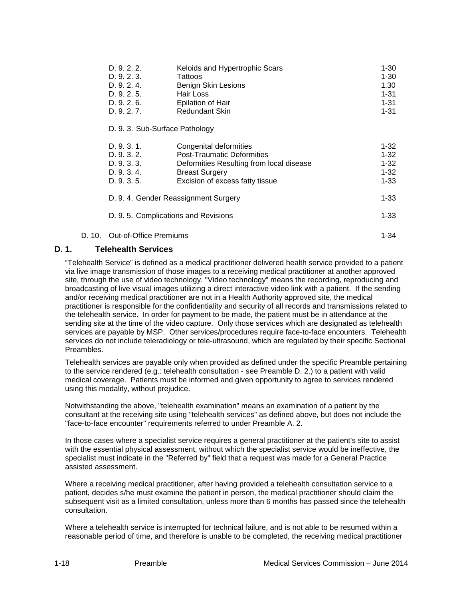| D.9.2.2.    | Keloids and Hypertrophic Scars | 1-30     |
|-------------|--------------------------------|----------|
| D.9.2.3.    | Tattoos                        | $1 - 30$ |
| D.9.2.4.    | Benign Skin Lesions            | 1.30     |
| D.9.2.5.    | Hair Loss                      | $1 - 31$ |
| D.9.2.6.    | Epilation of Hair              | $1 - 31$ |
| D. 9. 2. 7. | <b>Redundant Skin</b>          | 1-31     |

#### D. 9. 3. Sub-Surface Pathology

| D. 9. 3. 1.                                      | Congenital deformities                   | $1 - 32$ |
|--------------------------------------------------|------------------------------------------|----------|
| D. 9. 3. 2.                                      | <b>Post-Traumatic Deformities</b>        | $1 - 32$ |
| D. 9. 3. 3.                                      | Deformities Resulting from local disease | $1 - 32$ |
| D. 9. 3. 4.                                      | <b>Breast Surgery</b>                    | $1 - 32$ |
| D. 9. 3. 5.                                      | Excision of excess fatty tissue          | $1 - 33$ |
| D. 9. 4. Gender Reassignment Surgery<br>$1 - 33$ |                                          |          |
| D. 9. 5. Complications and Revisions             |                                          | $1 - 33$ |
|                                                  |                                          |          |

# D. 10. Out-of-Office Premiums 1-34

## **D. 1. Telehealth Services**

"Telehealth Service" is defined as a medical practitioner delivered health service provided to a patient via live image transmission of those images to a receiving medical practitioner at another approved site, through the use of video technology. "Video technology" means the recording, reproducing and broadcasting of live visual images utilizing a direct interactive video link with a patient. If the sending and/or receiving medical practitioner are not in a Health Authority approved site, the medical practitioner is responsible for the confidentiality and security of all records and transmissions related to the telehealth service. In order for payment to be made, the patient must be in attendance at the sending site at the time of the video capture. Only those services which are designated as telehealth services are payable by MSP. Other services/procedures require face-to-face encounters. Telehealth services do not include teleradiology or tele-ultrasound, which are regulated by their specific Sectional Preambles.

Telehealth services are payable only when provided as defined under the specific Preamble pertaining to the service rendered (e.g.: telehealth consultation - see Preamble D. 2.) to a patient with valid medical coverage. Patients must be informed and given opportunity to agree to services rendered using this modality, without prejudice.

Notwithstanding the above, "telehealth examination" means an examination of a patient by the consultant at the receiving site using "telehealth services" as defined above, but does not include the "face-to-face encounter" requirements referred to under Preamble A. 2.

In those cases where a specialist service requires a general practitioner at the patient's site to assist with the essential physical assessment, without which the specialist service would be ineffective, the specialist must indicate in the "Referred by" field that a request was made for a General Practice assisted assessment.

Where a receiving medical practitioner, after having provided a telehealth consultation service to a patient, decides s/he must examine the patient in person, the medical practitioner should claim the subsequent visit as a limited consultation, unless more than 6 months has passed since the telehealth consultation.

Where a telehealth service is interrupted for technical failure, and is not able to be resumed within a reasonable period of time, and therefore is unable to be completed, the receiving medical practitioner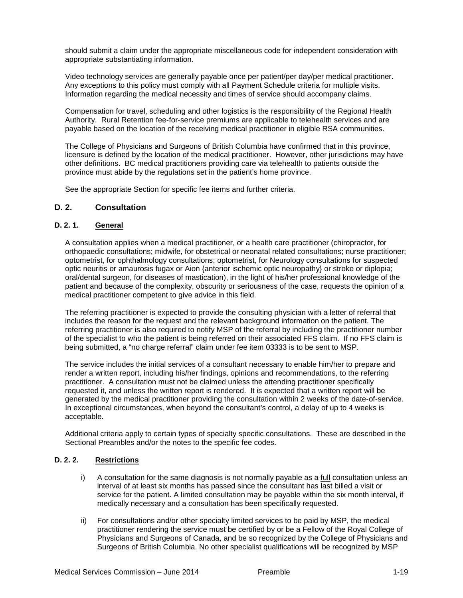should submit a claim under the appropriate miscellaneous code for independent consideration with appropriate substantiating information.

Video technology services are generally payable once per patient/per day/per medical practitioner. Any exceptions to this policy must comply with all Payment Schedule criteria for multiple visits. Information regarding the medical necessity and times of service should accompany claims.

Compensation for travel, scheduling and other logistics is the responsibility of the Regional Health Authority. Rural Retention fee-for-service premiums are applicable to telehealth services and are payable based on the location of the receiving medical practitioner in eligible RSA communities.

The College of Physicians and Surgeons of British Columbia have confirmed that in this province, licensure is defined by the location of the medical practitioner. However, other jurisdictions may have other definitions. BC medical practitioners providing care via telehealth to patients outside the province must abide by the regulations set in the patient's home province.

See the appropriate Section for specific fee items and further criteria.

#### **D. 2. Consultation**

#### **D. 2. 1. General**

A consultation applies when a medical practitioner, or a health care practitioner (chiropractor, for orthopaedic consultations; midwife, for obstetrical or neonatal related consultations; nurse practitioner; optometrist, for ophthalmology consultations; optometrist, for Neurology consultations for suspected optic neuritis or amaurosis fugax or Aion {anterior ischemic optic neuropathy} or stroke or diplopia; oral/dental surgeon, for diseases of mastication), in the light of his/her professional knowledge of the patient and because of the complexity, obscurity or seriousness of the case, requests the opinion of a medical practitioner competent to give advice in this field.

The referring practitioner is expected to provide the consulting physician with a letter of referral that includes the reason for the request and the relevant background information on the patient. The referring practitioner is also required to notify MSP of the referral by including the practitioner number of the specialist to who the patient is being referred on their associated FFS claim. If no FFS claim is being submitted, a "no charge referral" claim under fee item 03333 is to be sent to MSP.

The service includes the initial services of a consultant necessary to enable him/her to prepare and render a written report, including his/her findings, opinions and recommendations, to the referring practitioner. A consultation must not be claimed unless the attending practitioner specifically requested it, and unless the written report is rendered. It is expected that a written report will be generated by the medical practitioner providing the consultation within 2 weeks of the date-of-service. In exceptional circumstances, when beyond the consultant's control, a delay of up to 4 weeks is acceptable.

Additional criteria apply to certain types of specialty specific consultations. These are described in the Sectional Preambles and/or the notes to the specific fee codes.

#### **D. 2. 2. Restrictions**

- $i)$  A consultation for the same diagnosis is not normally payable as a  $\underline{full}$  consultation unless an interval of at least six months has passed since the consultant has last billed a visit or service for the patient. A limited consultation may be payable within the six month interval, if medically necessary and a consultation has been specifically requested.
- ii) For consultations and/or other specialty limited services to be paid by MSP, the medical practitioner rendering the service must be certified by or be a Fellow of the Royal College of Physicians and Surgeons of Canada, and be so recognized by the College of Physicians and Surgeons of British Columbia. No other specialist qualifications will be recognized by MSP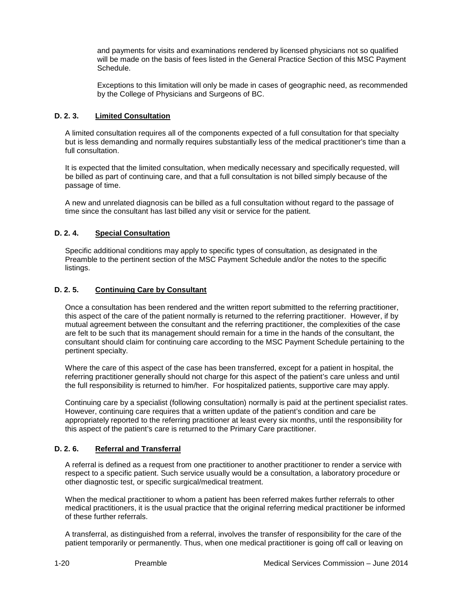and payments for visits and examinations rendered by licensed physicians not so qualified will be made on the basis of fees listed in the General Practice Section of this MSC Payment Schedule.

Exceptions to this limitation will only be made in cases of geographic need, as recommended by the College of Physicians and Surgeons of BC.

## **D. 2. 3. Limited Consultation**

A limited consultation requires all of the components expected of a full consultation for that specialty but is less demanding and normally requires substantially less of the medical practitioner's time than a full consultation.

It is expected that the limited consultation, when medically necessary and specifically requested, will be billed as part of continuing care, and that a full consultation is not billed simply because of the passage of time.

A new and unrelated diagnosis can be billed as a full consultation without regard to the passage of time since the consultant has last billed any visit or service for the patient.

## **D. 2. 4. Special Consultation**

Specific additional conditions may apply to specific types of consultation, as designated in the Preamble to the pertinent section of the MSC Payment Schedule and/or the notes to the specific listings.

#### **D. 2. 5. Continuing Care by Consultant**

Once a consultation has been rendered and the written report submitted to the referring practitioner, this aspect of the care of the patient normally is returned to the referring practitioner. However, if by mutual agreement between the consultant and the referring practitioner, the complexities of the case are felt to be such that its management should remain for a time in the hands of the consultant, the consultant should claim for continuing care according to the MSC Payment Schedule pertaining to the pertinent specialty.

Where the care of this aspect of the case has been transferred, except for a patient in hospital, the referring practitioner generally should not charge for this aspect of the patient's care unless and until the full responsibility is returned to him/her. For hospitalized patients, supportive care may apply.

Continuing care by a specialist (following consultation) normally is paid at the pertinent specialist rates. However, continuing care requires that a written update of the patient's condition and care be appropriately reported to the referring practitioner at least every six months, until the responsibility for this aspect of the patient's care is returned to the Primary Care practitioner.

#### **D. 2. 6. Referral and Transferral**

A referral is defined as a request from one practitioner to another practitioner to render a service with respect to a specific patient. Such service usually would be a consultation, a laboratory procedure or other diagnostic test, or specific surgical/medical treatment.

When the medical practitioner to whom a patient has been referred makes further referrals to other medical practitioners, it is the usual practice that the original referring medical practitioner be informed of these further referrals.

A transferral, as distinguished from a referral, involves the transfer of responsibility for the care of the patient temporarily or permanently. Thus, when one medical practitioner is going off call or leaving on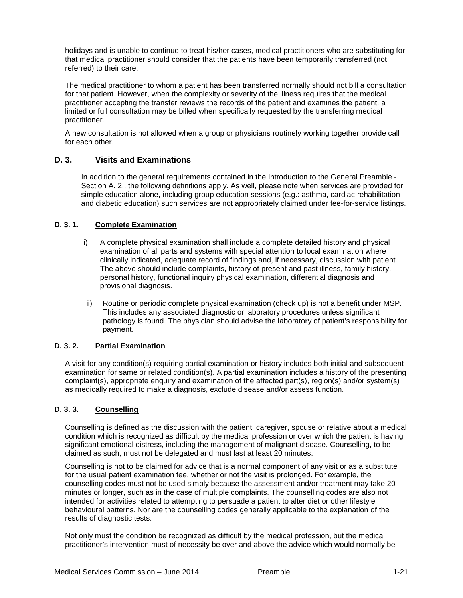holidays and is unable to continue to treat his/her cases, medical practitioners who are substituting for that medical practitioner should consider that the patients have been temporarily transferred (not referred) to their care.

The medical practitioner to whom a patient has been transferred normally should not bill a consultation for that patient. However, when the complexity or severity of the illness requires that the medical practitioner accepting the transfer reviews the records of the patient and examines the patient, a limited or full consultation may be billed when specifically requested by the transferring medical practitioner.

A new consultation is not allowed when a group or physicians routinely working together provide call for each other.

## **D. 3. Visits and Examinations**

In addition to the general requirements contained in the Introduction to the General Preamble - Section A. 2., the following definitions apply. As well, please note when services are provided for simple education alone, including group education sessions (e.g.: asthma, cardiac rehabilitation and diabetic education) such services are not appropriately claimed under fee-for-service listings.

#### **D. 3. 1. Complete Examination**

- i) A complete physical examination shall include a complete detailed history and physical examination of all parts and systems with special attention to local examination where clinically indicated, adequate record of findings and, if necessary, discussion with patient. The above should include complaints, history of present and past illness, family history, personal history, functional inquiry physical examination, differential diagnosis and provisional diagnosis.
- ii) Routine or periodic complete physical examination (check up) is not a benefit under MSP. This includes any associated diagnostic or laboratory procedures unless significant pathology is found. The physician should advise the laboratory of patient's responsibility for payment.

#### **D. 3. 2. Partial Examination**

A visit for any condition(s) requiring partial examination or history includes both initial and subsequent examination for same or related condition(s). A partial examination includes a history of the presenting complaint(s), appropriate enquiry and examination of the affected part(s), region(s) and/or system(s) as medically required to make a diagnosis, exclude disease and/or assess function.

#### **D. 3. 3. Counselling**

Counselling is defined as the discussion with the patient, caregiver, spouse or relative about a medical condition which is recognized as difficult by the medical profession or over which the patient is having significant emotional distress, including the management of malignant disease. Counselling, to be claimed as such, must not be delegated and must last at least 20 minutes.

Counselling is not to be claimed for advice that is a normal component of any visit or as a substitute for the usual patient examination fee, whether or not the visit is prolonged. For example, the counselling codes must not be used simply because the assessment and/or treatment may take 20 minutes or longer, such as in the case of multiple complaints. The counselling codes are also not intended for activities related to attempting to persuade a patient to alter diet or other lifestyle behavioural patterns. Nor are the counselling codes generally applicable to the explanation of the results of diagnostic tests.

Not only must the condition be recognized as difficult by the medical profession, but the medical practitioner's intervention must of necessity be over and above the advice which would normally be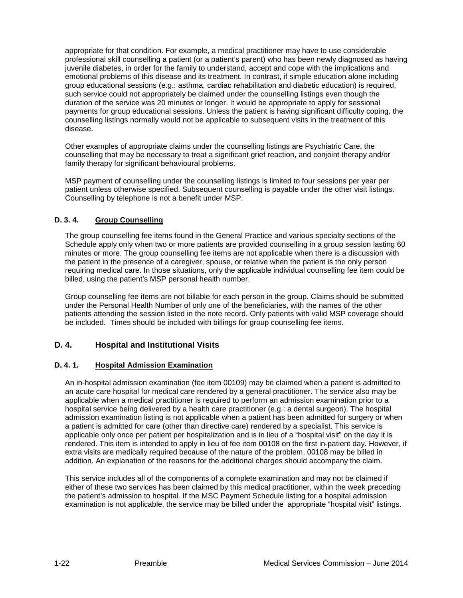appropriate for that condition. For example, a medical practitioner may have to use considerable professional skill counselling a patient (or a patient's parent) who has been newly diagnosed as having juvenile diabetes, in order for the family to understand, accept and cope with the implications and emotional problems of this disease and its treatment. In contrast, if simple education alone including group educational sessions (e.g.: asthma, cardiac rehabilitation and diabetic education) is required, such service could not appropriately be claimed under the counselling listings even though the duration of the service was 20 minutes or longer. It would be appropriate to apply for sessional payments for group educational sessions. Unless the patient is having significant difficulty coping, the counselling listings normally would not be applicable to subsequent visits in the treatment of this disease.

Other examples of appropriate claims under the counselling listings are Psychiatric Care, the counselling that may be necessary to treat a significant grief reaction, and conjoint therapy and/or family therapy for significant behavioural problems.

MSP payment of counselling under the counselling listings is limited to four sessions per year per patient unless otherwise specified. Subsequent counselling is payable under the other visit listings. Counselling by telephone is not a benefit under MSP.

## **D. 3. 4. Group Counselling**

The group counselling fee items found in the General Practice and various specialty sections of the Schedule apply only when two or more patients are provided counselling in a group session lasting 60 minutes or more. The group counselling fee items are not applicable when there is a discussion with the patient in the presence of a caregiver, spouse, or relative when the patient is the only person requiring medical care. In those situations, only the applicable individual counselling fee item could be billed, using the patient's MSP personal health number.

Group counselling fee items are not billable for each person in the group. Claims should be submitted under the Personal Health Number of only one of the beneficiaries, with the names of the other patients attending the session listed in the note record. Only patients with valid MSP coverage should be included. Times should be included with billings for group counselling fee items.

# **D. 4. Hospital and Institutional Visits**

#### **D. 4. 1. Hospital Admission Examination**

An in-hospital admission examination (fee item 00109) may be claimed when a patient is admitted to an acute care hospital for medical care rendered by a general practitioner. The service also may be applicable when a medical practitioner is required to perform an admission examination prior to a hospital service being delivered by a health care practitioner (e.g.: a dental surgeon). The hospital admission examination listing is not applicable when a patient has been admitted for surgery or when a patient is admitted for care (other than directive care) rendered by a specialist. This service is applicable only once per patient per hospitalization and is in lieu of a "hospital visit" on the day it is rendered. This item is intended to apply in lieu of fee item 00108 on the first in-patient day. However, if extra visits are medically required because of the nature of the problem, 00108 may be billed in addition. An explanation of the reasons for the additional charges should accompany the claim.

This service includes all of the components of a complete examination and may not be claimed if either of these two services has been claimed by this medical practitioner, within the week preceding the patient's admission to hospital. If the MSC Payment Schedule listing for a hospital admission examination is not applicable, the service may be billed under the appropriate "hospital visit" listings.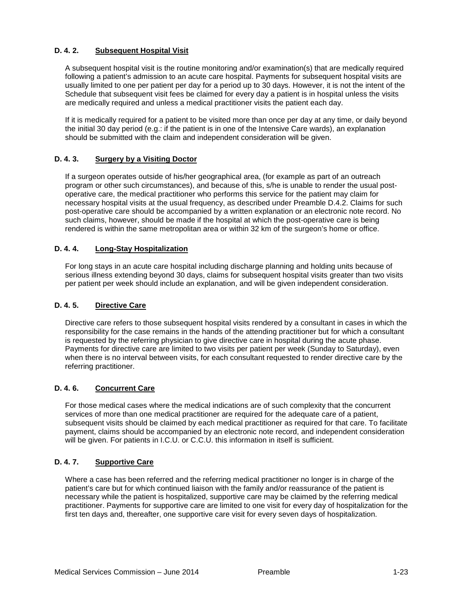## **D. 4. 2. Subsequent Hospital Visit**

A subsequent hospital visit is the routine monitoring and/or examination(s) that are medically required following a patient's admission to an acute care hospital. Payments for subsequent hospital visits are usually limited to one per patient per day for a period up to 30 days. However, it is not the intent of the Schedule that subsequent visit fees be claimed for every day a patient is in hospital unless the visits are medically required and unless a medical practitioner visits the patient each day.

If it is medically required for a patient to be visited more than once per day at any time, or daily beyond the initial 30 day period (e.g.: if the patient is in one of the Intensive Care wards), an explanation should be submitted with the claim and independent consideration will be given.

#### **D. 4. 3. Surgery by a Visiting Doctor**

If a surgeon operates outside of his/her geographical area, (for example as part of an outreach program or other such circumstances), and because of this, s/he is unable to render the usual postoperative care, the medical practitioner who performs this service for the patient may claim for necessary hospital visits at the usual frequency, as described under Preamble D.4.2. Claims for such post-operative care should be accompanied by a written explanation or an electronic note record. No such claims, however, should be made if the hospital at which the post-operative care is being rendered is within the same metropolitan area or within 32 km of the surgeon's home or office.

#### **D. 4. 4. Long-Stay Hospitalization**

For long stays in an acute care hospital including discharge planning and holding units because of serious illness extending beyond 30 days, claims for subsequent hospital visits greater than two visits per patient per week should include an explanation, and will be given independent consideration.

#### **D. 4. 5. Directive Care**

Directive care refers to those subsequent hospital visits rendered by a consultant in cases in which the responsibility for the case remains in the hands of the attending practitioner but for which a consultant is requested by the referring physician to give directive care in hospital during the acute phase. Payments for directive care are limited to two visits per patient per week (Sunday to Saturday), even when there is no interval between visits, for each consultant requested to render directive care by the referring practitioner.

#### **D. 4. 6. Concurrent Care**

For those medical cases where the medical indications are of such complexity that the concurrent services of more than one medical practitioner are required for the adequate care of a patient, subsequent visits should be claimed by each medical practitioner as required for that care. To facilitate payment, claims should be accompanied by an electronic note record, and independent consideration will be given. For patients in I.C.U. or C.C.U. this information in itself is sufficient.

## **D. 4. 7. Supportive Care**

Where a case has been referred and the referring medical practitioner no longer is in charge of the patient's care but for which continued liaison with the family and/or reassurance of the patient is necessary while the patient is hospitalized, supportive care may be claimed by the referring medical practitioner. Payments for supportive care are limited to one visit for every day of hospitalization for the first ten days and, thereafter, one supportive care visit for every seven days of hospitalization.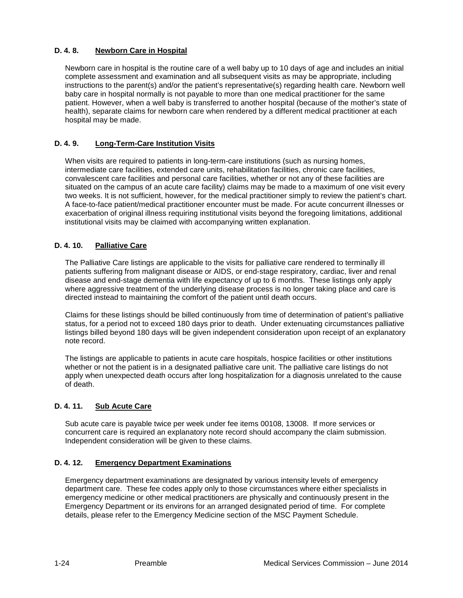## **D. 4. 8. Newborn Care in Hospital**

Newborn care in hospital is the routine care of a well baby up to 10 days of age and includes an initial complete assessment and examination and all subsequent visits as may be appropriate, including instructions to the parent(s) and/or the patient's representative(s) regarding health care. Newborn well baby care in hospital normally is not payable to more than one medical practitioner for the same patient. However, when a well baby is transferred to another hospital (because of the mother's state of health), separate claims for newborn care when rendered by a different medical practitioner at each hospital may be made.

## **D. 4. 9. Long-Term-Care Institution Visits**

When visits are required to patients in long-term-care institutions (such as nursing homes, intermediate care facilities, extended care units, rehabilitation facilities, chronic care facilities, convalescent care facilities and personal care facilities, whether or not any of these facilities are situated on the campus of an acute care facility) claims may be made to a maximum of one visit every two weeks. It is not sufficient, however, for the medical practitioner simply to review the patient's chart. A face-to-face patient/medical practitioner encounter must be made. For acute concurrent illnesses or exacerbation of original illness requiring institutional visits beyond the foregoing limitations, additional institutional visits may be claimed with accompanying written explanation.

#### **D. 4. 10. Palliative Care**

The Palliative Care listings are applicable to the visits for palliative care rendered to terminally ill patients suffering from malignant disease or AIDS, or end-stage respiratory, cardiac, liver and renal disease and end-stage dementia with life expectancy of up to 6 months. These listings only apply where aggressive treatment of the underlying disease process is no longer taking place and care is directed instead to maintaining the comfort of the patient until death occurs.

Claims for these listings should be billed continuously from time of determination of patient's palliative status, for a period not to exceed 180 days prior to death. Under extenuating circumstances palliative listings billed beyond 180 days will be given independent consideration upon receipt of an explanatory note record.

The listings are applicable to patients in acute care hospitals, hospice facilities or other institutions whether or not the patient is in a designated palliative care unit. The palliative care listings do not apply when unexpected death occurs after long hospitalization for a diagnosis unrelated to the cause of death.

#### **D. 4. 11. Sub Acute Care**

Sub acute care is payable twice per week under fee items 00108, 13008. If more services or concurrent care is required an explanatory note record should accompany the claim submission. Independent consideration will be given to these claims.

#### **D. 4. 12. Emergency Department Examinations**

Emergency department examinations are designated by various intensity levels of emergency department care. These fee codes apply only to those circumstances where either specialists in emergency medicine or other medical practitioners are physically and continuously present in the Emergency Department or its environs for an arranged designated period of time. For complete details, please refer to the Emergency Medicine section of the MSC Payment Schedule.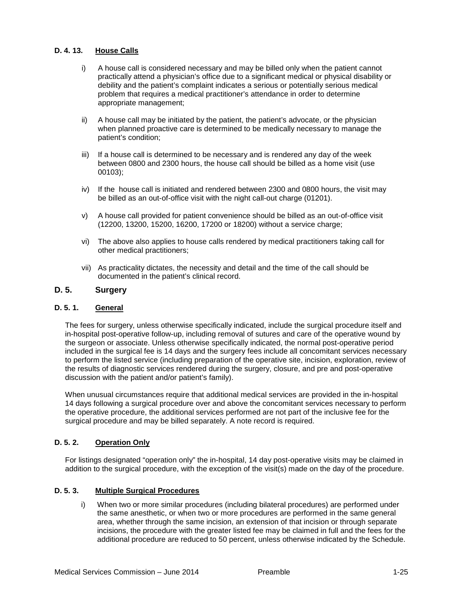#### **D. 4. 13. House Calls**

- i) A house call is considered necessary and may be billed only when the patient cannot practically attend a physician's office due to a significant medical or physical disability or debility and the patient's complaint indicates a serious or potentially serious medical problem that requires a medical practitioner's attendance in order to determine appropriate management;
- ii) A house call may be initiated by the patient, the patient's advocate, or the physician when planned proactive care is determined to be medically necessary to manage the patient's condition;
- iii) If a house call is determined to be necessary and is rendered any day of the week between 0800 and 2300 hours, the house call should be billed as a home visit (use 00103);
- iv) If the house call is initiated and rendered between 2300 and 0800 hours, the visit may be billed as an out-of-office visit with the night call-out charge (01201).
- v) A house call provided for patient convenience should be billed as an out-of-office visit (12200, 13200, 15200, 16200, 17200 or 18200) without a service charge;
- vi) The above also applies to house calls rendered by medical practitioners taking call for other medical practitioners;
- vii) As practicality dictates, the necessity and detail and the time of the call should be documented in the patient's clinical record.

## **D. 5. Surgery**

#### **D. 5. 1. General**

The fees for surgery, unless otherwise specifically indicated, include the surgical procedure itself and in-hospital post-operative follow-up, including removal of sutures and care of the operative wound by the surgeon or associate. Unless otherwise specifically indicated, the normal post-operative period included in the surgical fee is 14 days and the surgery fees include all concomitant services necessary to perform the listed service (including preparation of the operative site, incision, exploration, review of the results of diagnostic services rendered during the surgery, closure, and pre and post-operative discussion with the patient and/or patient's family).

When unusual circumstances require that additional medical services are provided in the in-hospital 14 days following a surgical procedure over and above the concomitant services necessary to perform the operative procedure, the additional services performed are not part of the inclusive fee for the surgical procedure and may be billed separately. A note record is required.

#### **D. 5. 2. Operation Only**

For listings designated "operation only" the in-hospital, 14 day post-operative visits may be claimed in addition to the surgical procedure, with the exception of the visit(s) made on the day of the procedure.

#### **D. 5. 3. Multiple Surgical Procedures**

i) When two or more similar procedures (including bilateral procedures) are performed under the same anesthetic, or when two or more procedures are performed in the same general area, whether through the same incision, an extension of that incision or through separate incisions, the procedure with the greater listed fee may be claimed in full and the fees for the additional procedure are reduced to 50 percent, unless otherwise indicated by the Schedule.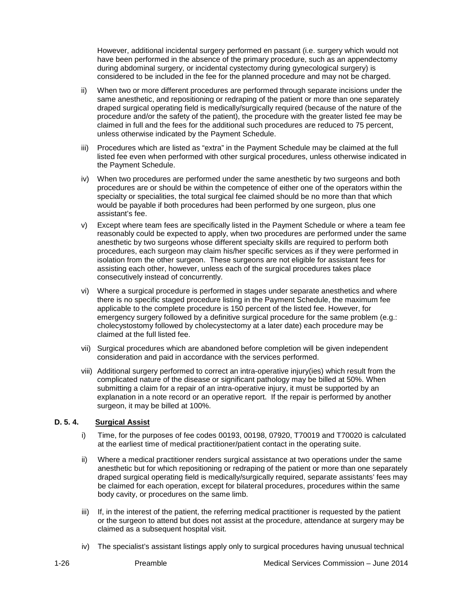However, additional incidental surgery performed en passant (i.e. surgery which would not have been performed in the absence of the primary procedure, such as an appendectomy during abdominal surgery, or incidental cystectomy during gynecological surgery) is considered to be included in the fee for the planned procedure and may not be charged.

- ii) When two or more different procedures are performed through separate incisions under the same anesthetic, and repositioning or redraping of the patient or more than one separately draped surgical operating field is medically/surgically required (because of the nature of the procedure and/or the safety of the patient), the procedure with the greater listed fee may be claimed in full and the fees for the additional such procedures are reduced to 75 percent, unless otherwise indicated by the Payment Schedule.
- iii) Procedures which are listed as "extra" in the Payment Schedule may be claimed at the full listed fee even when performed with other surgical procedures, unless otherwise indicated in the Payment Schedule.
- iv) When two procedures are performed under the same anesthetic by two surgeons and both procedures are or should be within the competence of either one of the operators within the specialty or specialities, the total surgical fee claimed should be no more than that which would be payable if both procedures had been performed by one surgeon, plus one assistant's fee.
- v) Except where team fees are specifically listed in the Payment Schedule or where a team fee reasonably could be expected to apply, when two procedures are performed under the same anesthetic by two surgeons whose different specialty skills are required to perform both procedures, each surgeon may claim his/her specific services as if they were performed in isolation from the other surgeon. These surgeons are not eligible for assistant fees for assisting each other, however, unless each of the surgical procedures takes place consecutively instead of concurrently.
- vi) Where a surgical procedure is performed in stages under separate anesthetics and where there is no specific staged procedure listing in the Payment Schedule, the maximum fee applicable to the complete procedure is 150 percent of the listed fee. However, for emergency surgery followed by a definitive surgical procedure for the same problem (e.g.: cholecystostomy followed by cholecystectomy at a later date) each procedure may be claimed at the full listed fee.
- vii) Surgical procedures which are abandoned before completion will be given independent consideration and paid in accordance with the services performed.
- viii) Additional surgery performed to correct an intra-operative injury(ies) which result from the complicated nature of the disease or significant pathology may be billed at 50%. When submitting a claim for a repair of an intra-operative injury, it must be supported by an explanation in a note record or an operative report. If the repair is performed by another surgeon, it may be billed at 100%.

#### **D. 5. 4. Surgical Assist**

- i) Time, for the purposes of fee codes 00193, 00198, 07920, T70019 and T70020 is calculated at the earliest time of medical practitioner/patient contact in the operating suite.
- ii) Where a medical practitioner renders surgical assistance at two operations under the same anesthetic but for which repositioning or redraping of the patient or more than one separately draped surgical operating field is medically/surgically required, separate assistants' fees may be claimed for each operation, except for bilateral procedures, procedures within the same body cavity, or procedures on the same limb.
- iii) If, in the interest of the patient, the referring medical practitioner is requested by the patient or the surgeon to attend but does not assist at the procedure, attendance at surgery may be claimed as a subsequent hospital visit.
- iv) The specialist's assistant listings apply only to surgical procedures having unusual technical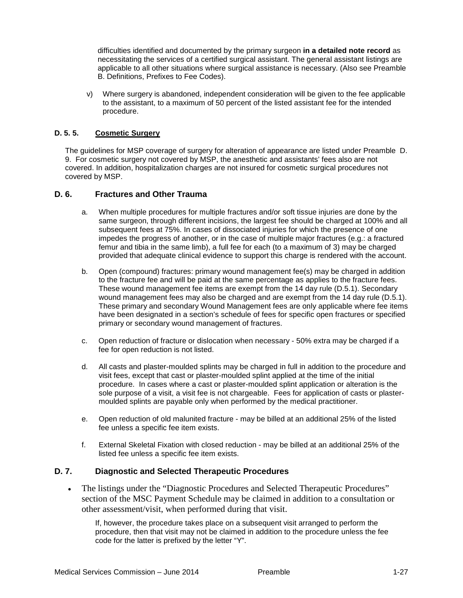difficulties identified and documented by the primary surgeon **in a detailed note record** as necessitating the services of a certified surgical assistant. The general assistant listings are applicable to all other situations where surgical assistance is necessary. (Also see Preamble B. Definitions, Prefixes to Fee Codes).

v) Where surgery is abandoned, independent consideration will be given to the fee applicable to the assistant, to a maximum of 50 percent of the listed assistant fee for the intended procedure.

## **D. 5. 5. Cosmetic Surgery**

The guidelines for MSP coverage of surgery for alteration of appearance are listed under Preamble D. 9. For cosmetic surgery not covered by MSP, the anesthetic and assistants' fees also are not covered. In addition, hospitalization charges are not insured for cosmetic surgical procedures not covered by MSP.

#### **D. 6. Fractures and Other Trauma**

- a. When multiple procedures for multiple fractures and/or soft tissue injuries are done by the same surgeon, through different incisions, the largest fee should be charged at 100% and all subsequent fees at 75%. In cases of dissociated injuries for which the presence of one impedes the progress of another, or in the case of multiple major fractures (e.g.: a fractured femur and tibia in the same limb), a full fee for each (to a maximum of 3) may be charged provided that adequate clinical evidence to support this charge is rendered with the account.
- b. Open (compound) fractures: primary wound management fee(s) may be charged in addition to the fracture fee and will be paid at the same percentage as applies to the fracture fees. These wound management fee items are exempt from the 14 day rule (D.5.1). Secondary wound management fees may also be charged and are exempt from the 14 day rule (D.5.1). These primary and secondary Wound Management fees are only applicable where fee items have been designated in a section's schedule of fees for specific open fractures or specified primary or secondary wound management of fractures.
- c. Open reduction of fracture or dislocation when necessary 50% extra may be charged if a fee for open reduction is not listed.
- d. All casts and plaster-moulded splints may be charged in full in addition to the procedure and visit fees, except that cast or plaster-moulded splint applied at the time of the initial procedure. In cases where a cast or plaster-moulded splint application or alteration is the sole purpose of a visit, a visit fee is not chargeable. Fees for application of casts or plastermoulded splints are payable only when performed by the medical practitioner.
- e. Open reduction of old malunited fracture may be billed at an additional 25% of the listed fee unless a specific fee item exists.
- f. External Skeletal Fixation with closed reduction may be billed at an additional 25% of the listed fee unless a specific fee item exists.

#### **D. 7. Diagnostic and Selected Therapeutic Procedures**

• The listings under the "Diagnostic Procedures and Selected Therapeutic Procedures" section of the MSC Payment Schedule may be claimed in addition to a consultation or other assessment/visit, when performed during that visit.

If, however, the procedure takes place on a subsequent visit arranged to perform the procedure, then that visit may not be claimed in addition to the procedure unless the fee code for the latter is prefixed by the letter "Y".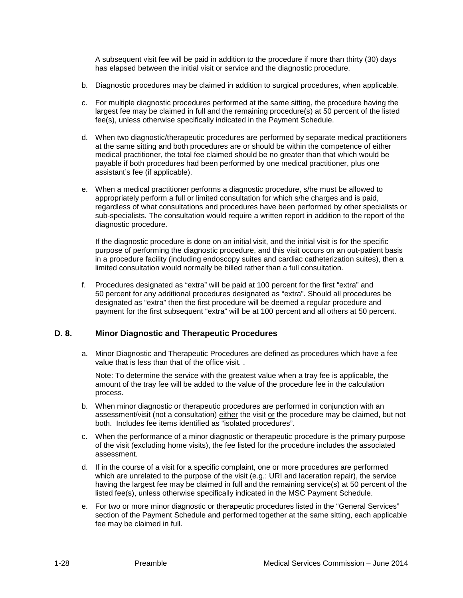A subsequent visit fee will be paid in addition to the procedure if more than thirty (30) days has elapsed between the initial visit or service and the diagnostic procedure.

- b. Diagnostic procedures may be claimed in addition to surgical procedures, when applicable.
- c. For multiple diagnostic procedures performed at the same sitting, the procedure having the largest fee may be claimed in full and the remaining procedure(s) at 50 percent of the listed fee(s), unless otherwise specifically indicated in the Payment Schedule.
- d. When two diagnostic/therapeutic procedures are performed by separate medical practitioners at the same sitting and both procedures are or should be within the competence of either medical practitioner, the total fee claimed should be no greater than that which would be payable if both procedures had been performed by one medical practitioner, plus one assistant's fee (if applicable).
- e. When a medical practitioner performs a diagnostic procedure, s/he must be allowed to appropriately perform a full or limited consultation for which s/he charges and is paid, regardless of what consultations and procedures have been performed by other specialists or sub-specialists. The consultation would require a written report in addition to the report of the diagnostic procedure.

If the diagnostic procedure is done on an initial visit, and the initial visit is for the specific purpose of performing the diagnostic procedure, and this visit occurs on an out-patient basis in a procedure facility (including endoscopy suites and cardiac catheterization suites), then a limited consultation would normally be billed rather than a full consultation.

f. Procedures designated as "extra" will be paid at 100 percent for the first "extra" and 50 percent for any additional procedures designated as "extra". Should all procedures be designated as "extra" then the first procedure will be deemed a regular procedure and payment for the first subsequent "extra" will be at 100 percent and all others at 50 percent.

#### **D. 8. Minor Diagnostic and Therapeutic Procedures**

a. Minor Diagnostic and Therapeutic Procedures are defined as procedures which have a fee value that is less than that of the office visit. .

Note: To determine the service with the greatest value when a tray fee is applicable, the amount of the tray fee will be added to the value of the procedure fee in the calculation process.

- b. When minor diagnostic or therapeutic procedures are performed in conjunction with an assessment/visit (not a consultation) either the visit or the procedure may be claimed, but not both. Includes fee items identified as "isolated procedures".
- c. When the performance of a minor diagnostic or therapeutic procedure is the primary purpose of the visit (excluding home visits), the fee listed for the procedure includes the associated assessment.
- d. If in the course of a visit for a specific complaint, one or more procedures are performed which are unrelated to the purpose of the visit (e.g.: URI and laceration repair), the service having the largest fee may be claimed in full and the remaining service(s) at 50 percent of the listed fee(s), unless otherwise specifically indicated in the MSC Payment Schedule.
- e. For two or more minor diagnostic or therapeutic procedures listed in the "General Services" section of the Payment Schedule and performed together at the same sitting, each applicable fee may be claimed in full.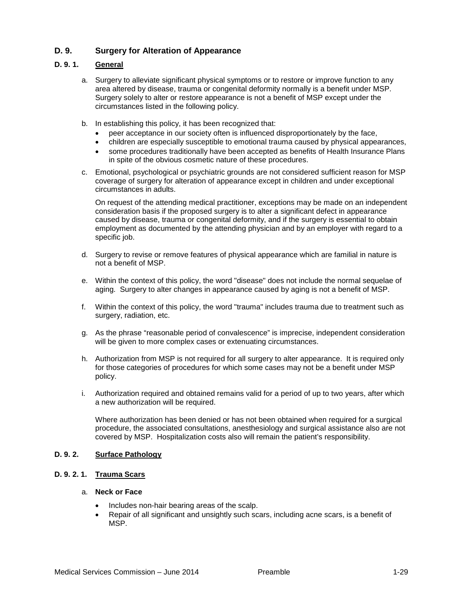# **D. 9. Surgery for Alteration of Appearance**

#### **D. 9. 1. General**

- a. Surgery to alleviate significant physical symptoms or to restore or improve function to any area altered by disease, trauma or congenital deformity normally is a benefit under MSP. Surgery solely to alter or restore appearance is not a benefit of MSP except under the circumstances listed in the following policy.
- b. In establishing this policy, it has been recognized that:
	- peer acceptance in our society often is influenced disproportionately by the face,
	- children are especially susceptible to emotional trauma caused by physical appearances,
	- some procedures traditionally have been accepted as benefits of Health Insurance Plans in spite of the obvious cosmetic nature of these procedures.
- c. Emotional, psychological or psychiatric grounds are not considered sufficient reason for MSP coverage of surgery for alteration of appearance except in children and under exceptional circumstances in adults.

On request of the attending medical practitioner, exceptions may be made on an independent consideration basis if the proposed surgery is to alter a significant defect in appearance caused by disease, trauma or congenital deformity, and if the surgery is essential to obtain employment as documented by the attending physician and by an employer with regard to a specific job.

- d. Surgery to revise or remove features of physical appearance which are familial in nature is not a benefit of MSP.
- e. Within the context of this policy, the word "disease" does not include the normal sequelae of aging. Surgery to alter changes in appearance caused by aging is not a benefit of MSP.
- f. Within the context of this policy, the word "trauma" includes trauma due to treatment such as surgery, radiation, etc.
- g. As the phrase "reasonable period of convalescence" is imprecise, independent consideration will be given to more complex cases or extenuating circumstances.
- h. Authorization from MSP is not required for all surgery to alter appearance. It is required only for those categories of procedures for which some cases may not be a benefit under MSP policy.
- i. Authorization required and obtained remains valid for a period of up to two years, after which a new authorization will be required.

Where authorization has been denied or has not been obtained when required for a surgical procedure, the associated consultations, anesthesiology and surgical assistance also are not covered by MSP. Hospitalization costs also will remain the patient's responsibility.

#### **D. 9. 2. Surface Pathology**

## **D. 9. 2. 1. Trauma Scars**

#### a. **Neck or Face**

- Includes non-hair bearing areas of the scalp.
- Repair of all significant and unsightly such scars, including acne scars, is a benefit of MSP.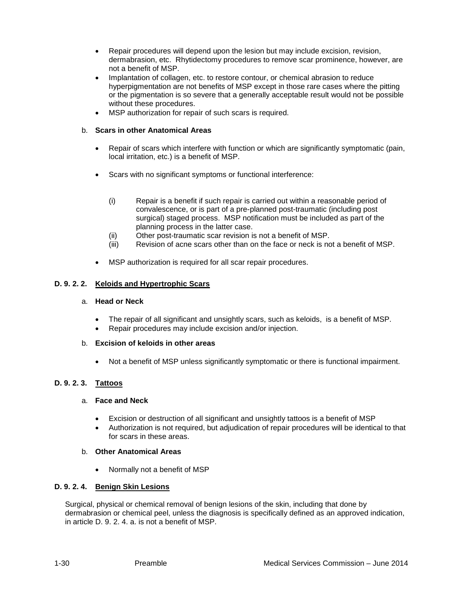- Repair procedures will depend upon the lesion but may include excision, revision, dermabrasion, etc. Rhytidectomy procedures to remove scar prominence, however, are not a benefit of MSP.
- Implantation of collagen, etc. to restore contour, or chemical abrasion to reduce hyperpigmentation are not benefits of MSP except in those rare cases where the pitting or the pigmentation is so severe that a generally acceptable result would not be possible without these procedures.
- MSP authorization for repair of such scars is required.

## b. **Scars in other Anatomical Areas**

- Repair of scars which interfere with function or which are significantly symptomatic (pain, local irritation, etc.) is a benefit of MSP.
- Scars with no significant symptoms or functional interference:
	- (i) Repair is a benefit if such repair is carried out within a reasonable period of convalescence, or is part of a pre-planned post-traumatic (including post surgical) staged process. MSP notification must be included as part of the planning process in the latter case.
	- (ii) Other post-traumatic scar revision is not a benefit of MSP.
	- (iii) Revision of acne scars other than on the face or neck is not a benefit of MSP.
- MSP authorization is required for all scar repair procedures.

## **D. 9. 2. 2. Keloids and Hypertrophic Scars**

#### a. **Head or Neck**

- The repair of all significant and unsightly scars, such as keloids, is a benefit of MSP.
- Repair procedures may include excision and/or injection.

#### b. **Excision of keloids in other areas**

• Not a benefit of MSP unless significantly symptomatic or there is functional impairment.

# **D. 9. 2. 3. Tattoos**

#### a. **Face and Neck**

- Excision or destruction of all significant and unsightly tattoos is a benefit of MSP
- Authorization is not required, but adjudication of repair procedures will be identical to that for scars in these areas.

#### b. **Other Anatomical Areas**

• Normally not a benefit of MSP

#### **D. 9. 2. 4. Benign Skin Lesions**

Surgical, physical or chemical removal of benign lesions of the skin, including that done by dermabrasion or chemical peel, unless the diagnosis is specifically defined as an approved indication, in article D. 9. 2. 4. a. is not a benefit of MSP.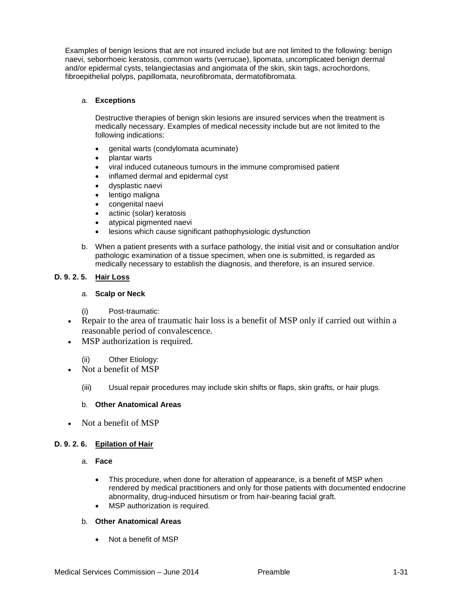Examples of benign lesions that are not insured include but are not limited to the following: benign naevi, seborrhoeic keratosis, common warts (verrucae), lipomata, uncomplicated benign dermal and/or epidermal cysts, telangiectasias and angiomata of the skin, skin tags, acrochordons, fibroepithelial polyps, papillomata, neurofibromata, dermatofibromata.

#### a. **Exceptions**

Destructive therapies of benign skin lesions are insured services when the treatment is medically necessary. Examples of medical necessity include but are not limited to the following indications:

- genital warts (condylomata acuminate)
- plantar warts
- viral induced cutaneous tumours in the immune compromised patient
- inflamed dermal and epidermal cyst
- dysplastic naevi
- lentigo maligna
- congenital naevi
- actinic (solar) keratosis
- atypical pigmented naevi
- lesions which cause significant pathophysiologic dysfunction
- b. When a patient presents with a surface pathology, the initial visit and or consultation and/or pathologic examination of a tissue specimen, when one is submitted, is regarded as medically necessary to establish the diagnosis, and therefore, is an insured service.

#### **D. 9. 2. 5. Hair Loss**

#### a. **Scalp or Neck**

- (i) Post-traumatic:
- Repair to the area of traumatic hair loss is a benefit of MSP only if carried out within a reasonable period of convalescence.
- MSP authorization is required.
	- (ii) Other Etiology:
- Not a benefit of MSP
	- (iii) Usual repair procedures may include skin shifts or flaps, skin grafts, or hair plugs.

#### b. **Other Anatomical Areas**

• Not a benefit of MSP

#### **D. 9. 2. 6. Epilation of Hair**

- a. **Face**
	- This procedure, when done for alteration of appearance, is a benefit of MSP when rendered by medical practitioners and only for those patients with documented endocrine abnormality, drug-induced hirsutism or from hair-bearing facial graft.
	- MSP authorization is required.

#### b. **Other Anatomical Areas**

• Not a benefit of MSP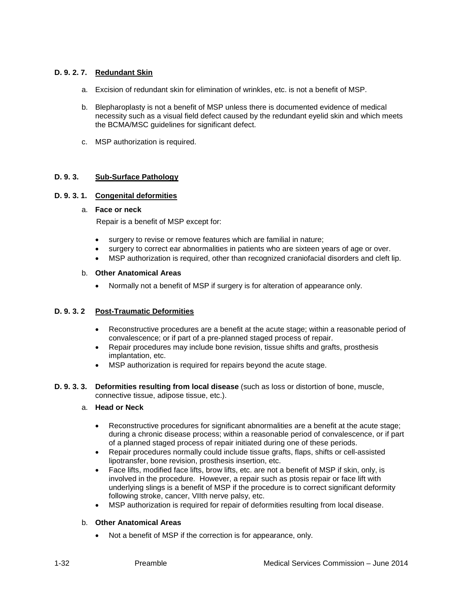## **D. 9. 2. 7. Redundant Skin**

- a. Excision of redundant skin for elimination of wrinkles, etc. is not a benefit of MSP.
- b. Blepharoplasty is not a benefit of MSP unless there is documented evidence of medical necessity such as a visual field defect caused by the redundant eyelid skin and which meets the BCMA/MSC guidelines for significant defect.
- c. MSP authorization is required.

#### **D. 9. 3. Sub-Surface Pathology**

#### **D. 9. 3. 1. Congenital deformities**

#### a. **Face or neck**

Repair is a benefit of MSP except for:

- surgery to revise or remove features which are familial in nature;
- surgery to correct ear abnormalities in patients who are sixteen years of age or over.
- MSP authorization is required, other than recognized craniofacial disorders and cleft lip.

#### b. **Other Anatomical Areas**

• Normally not a benefit of MSP if surgery is for alteration of appearance only.

#### **D. 9. 3. 2 Post-Traumatic Deformities**

- Reconstructive procedures are a benefit at the acute stage; within a reasonable period of convalescence; or if part of a pre-planned staged process of repair.
- Repair procedures may include bone revision, tissue shifts and grafts, prosthesis implantation, etc.
- MSP authorization is required for repairs beyond the acute stage.
- **D. 9. 3. 3. Deformities resulting from local disease** (such as loss or distortion of bone, muscle, connective tissue, adipose tissue, etc.).

#### a. **Head or Neck**

- Reconstructive procedures for significant abnormalities are a benefit at the acute stage; during a chronic disease process; within a reasonable period of convalescence, or if part of a planned staged process of repair initiated during one of these periods.
- Repair procedures normally could include tissue grafts, flaps, shifts or cell-assisted lipotransfer, bone revision, prosthesis insertion, etc.
- Face lifts, modified face lifts, brow lifts, etc. are not a benefit of MSP if skin, only, is involved in the procedure. However, a repair such as ptosis repair or face lift with underlying slings is a benefit of MSP if the procedure is to correct significant deformity following stroke, cancer, VIIth nerve palsy, etc.
- MSP authorization is required for repair of deformities resulting from local disease.

#### b. **Other Anatomical Areas**

• Not a benefit of MSP if the correction is for appearance, only.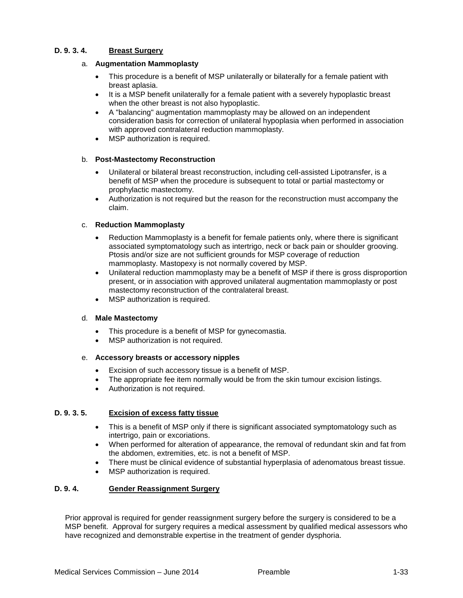## **D. 9. 3. 4. Breast Surgery**

#### a. **Augmentation Mammoplasty**

- This procedure is a benefit of MSP unilaterally or bilaterally for a female patient with breast aplasia.
- It is a MSP benefit unilaterally for a female patient with a severely hypoplastic breast when the other breast is not also hypoplastic.
- A "balancing" augmentation mammoplasty may be allowed on an independent consideration basis for correction of unilateral hypoplasia when performed in association with approved contralateral reduction mammoplasty.
- MSP authorization is required.

## b. **Post-Mastectomy Reconstruction**

- Unilateral or bilateral breast reconstruction, including cell-assisted Lipotransfer, is a benefit of MSP when the procedure is subsequent to total or partial mastectomy or prophylactic mastectomy.
- Authorization is not required but the reason for the reconstruction must accompany the claim.

## c. **Reduction Mammoplasty**

- Reduction Mammoplasty is a benefit for female patients only, where there is significant associated symptomatology such as intertrigo, neck or back pain or shoulder grooving. Ptosis and/or size are not sufficient grounds for MSP coverage of reduction mammoplasty. Mastopexy is not normally covered by MSP.
- Unilateral reduction mammoplasty may be a benefit of MSP if there is gross disproportion present, or in association with approved unilateral augmentation mammoplasty or post mastectomy reconstruction of the contralateral breast.
- MSP authorization is required.

#### d. **Male Mastectomy**

- This procedure is a benefit of MSP for gynecomastia.
- MSP authorization is not required.

#### e. **Accessory breasts or accessory nipples**

- Excision of such accessory tissue is a benefit of MSP.
- The appropriate fee item normally would be from the skin tumour excision listings.
- Authorization is not required.

# **D. 9. 3. 5. Excision of excess fatty tissue**

- This is a benefit of MSP only if there is significant associated symptomatology such as intertrigo, pain or excoriations.
- When performed for alteration of appearance, the removal of redundant skin and fat from the abdomen, extremities, etc. is not a benefit of MSP.
- There must be clinical evidence of substantial hyperplasia of adenomatous breast tissue.
- MSP authorization is required.

#### **D. 9. 4. Gender Reassignment Surgery**

Prior approval is required for gender reassignment surgery before the surgery is considered to be a MSP benefit. Approval for surgery requires a medical assessment by qualified medical assessors who have recognized and demonstrable expertise in the treatment of gender dysphoria.